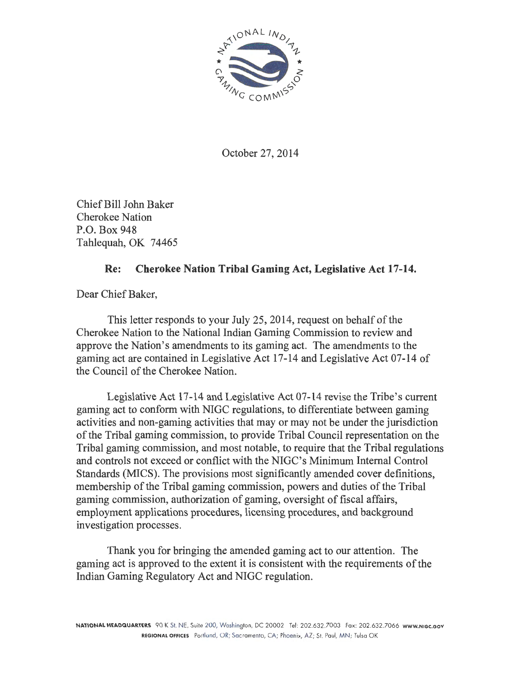

October 27, 2014

Chief Bill John Baker Cherokee Nation P.O. Box 948 Tahlequah, OK 74465

## **Re: Cherokee Nation Tribal Gaming Act, Legislative Act 17-14.**

Dear Chief Baker,

This letter responds to your July 25, 2014, request on behalf of the Cherokee Nation to the National Indian Gaming Commission to review and approve the Nation's amendments to its gaming act. The amendments to the gaming act are contained in Legislative Act 17-14 and Legislative Act 07-14 of the Council of the Cherokee Nation.

Legislative Act 17-14 and Legislative Act 07-14 revise the Tribe's current gaming act to conform with NIGC regulations, to differentiate between gaming activities and non-gaming activities that may or may not be under the jurisdiction of the Tribal gaming commission, to provide Tribal Council representation on the Tribal gaming commission, and most notable, to require that the Tribal regulations and controls not exceed or conflict with the NIGC's Minimum Internal Control Standards (MICS). The provisions most significantly amended cover definitions, membership of the Tribal gaming commission, powers and duties of the Tribal gaming commission, authorization of gaming, oversight of fiscal affairs, employment applications procedures, licensing procedures, and background investigation processes.

Thank you for bringing the amended gaming act to our attention. The gaming act is approved to the extent it is consistent with the requirements of the Indian Gaming Regulatory Act and NIGC regulation.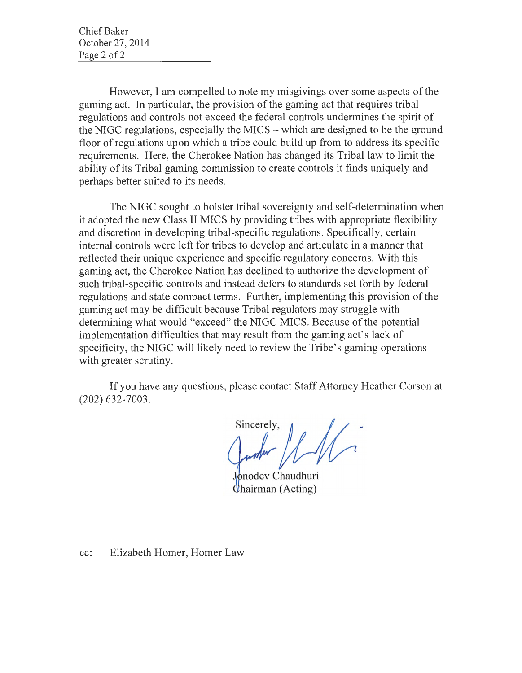Chief Baker October 27, 2014 Page 2 of 2

However, I am compelled to note my misgivings over some aspects of the gaming act. In particular, the provision of the gaming act that requires tribal regulations and controls not exceed the federal controls undermines the spirit of the NIGC regulations, especially the MICS  $-$  which are designed to be the ground floor of regulations upon which a tribe could build up from to address its specific requirements. Here, the Cherokee Nation has changed its Tribal law to limit the ability of its Tribal gaming commission to create controls it finds uniquely and perhaps better suited to its needs.

The NIGC sought to bolster tribal sovereignty and self-determination when it adopted the new Class II MICS by providing tribes with appropriate flexibility and discretion in developing tribal-specific regulations. Specifically, certain internal controls were left for tribes to develop and articulate in a manner that reflected their unique experience and specific regulatory concerns. With this gaming act, the Cherokee Nation has declined to authorize the development of such tribal-specific controls and instead defers to standards set forth by federal regulations and state compact terms. Further, implementing this provision of the gaming act may be difficult because Tribal regulators may struggle with determining what would "exceed" the NIGC MICS. Because of the potential implementation difficulties that may result from the gaming act's lack of specificity, the NIGC will likely need to review the Tribe's gaming operations with greater scrutiny.

If you have any questions, please contact Staff Attorney Heather Corson at (202) 632-7003.

Sincerely,

nodev Chaudhuri hairman (Acting)

cc: Elizabeth Homer, Homer Law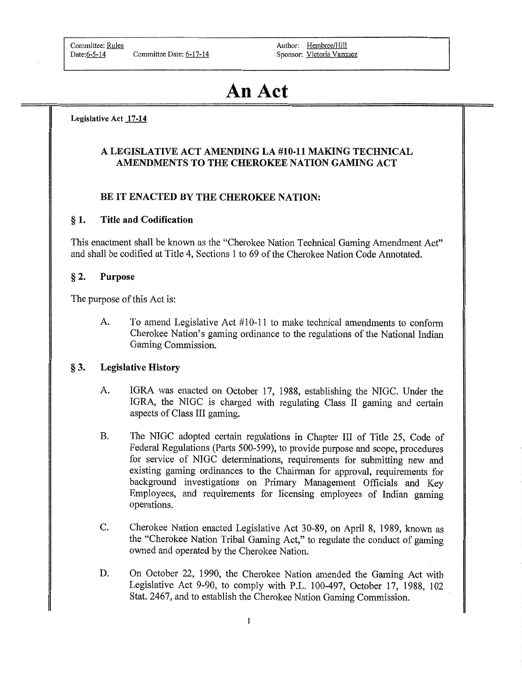Author: Hembree/Hill Sponsor: Victoria Vazguez

# **An Act**

#### Legislative Act 17-14

## A LEGISLATIVE ACT AMENDING LA #10-11 MAKING TECHNICAL AMENDMENTS TO THE CHEROKEE NATION GAMING ACT

#### BE IT ENACTED BY THE CHEROKEE NATION:

#### § 1. Title and Codification

This enactment shall be known as the "Cherokee Nation Technical Gaming Amendment Act" and shall be codified at Title 4, Sections 1 to 69 of the Cherokee Nation Code Annotated.

#### § 2. Purpose

The purpose of this Act is:

A. To amend Legislative Act #10-11 to make technical amendments to conform Cherokee Nation's gaming ordinance to the regulations of the National Indian Gaming Commission.

## § 3. Legislative History

- A. IGRA was enacted on October 17, 1988, establishing the NIGC. Under the IGRA, the NIGC is charged with regulating Class II gaming and certain aspects of Class III gaming.
- B. The NIGC adopted certain regulations in Chapter III of Title 25, Code of Federal Regulations (Parts 500-599), to provide purpose and scope, procedures for service of NIGC determinations, requirements for submitting new and existing gaming ordinances to the Chairman for approval, requirements for background investigations on Primary Management Officials and Key Employees, and requirements for licensing employees of Indian gaming operations.
- C. Cherokee Nation enacted Legislative Act 30-89, on April 8, 1989, known as the "Cherokee Nation Tribal Gaming Act," to regulate the conduct of gaming owned and operated by the Cherokee Nation.
- D. On October 22, 1990, the Cherokee Nation amended the Gaming Act with Legislative Act 9-90, to comply with P.L. 100-497, October 17, 1988, 102 Stat. 2467, and to establish the Cherokee Nation Gaming Commission.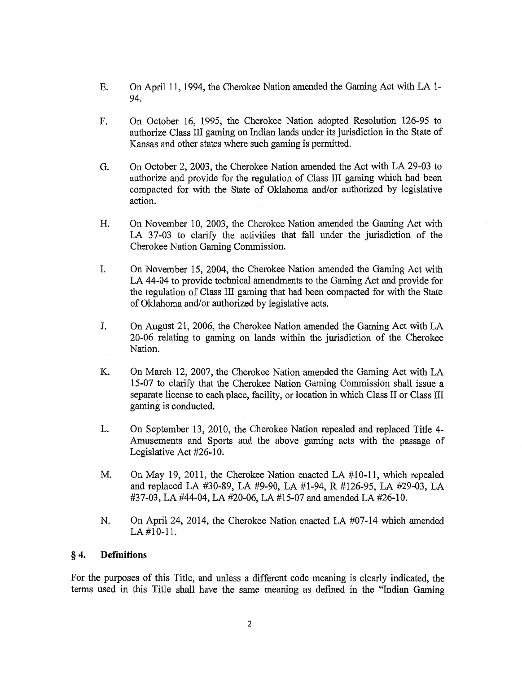- E. On April 11, 1994, the Cherokee Nation amended the Gaming Act with LA 1- 94.
- F. On October 16, 1995, the Cherokee Nation adopted Resolution 126-95 to authorize Class III gaming on Indian lands under its jurisdiction in the State of Kansas and other states where such gaming is permitted.
- G. On October 2, 2003, the Cherokee Nation amended the Act with LA 29-03 to authorize and provide for the regulation of Class III gaming which had been compacted for with the State of Oklahoma and/or authorized by legislative action.
- H. On November 10, 2003, the Cherokee Nation amended the Gaming Act with LA 37-03 to clarify the activities that fall under the jurisdiction of the Cherokee Nation Gaming Commission.
- I. On November 15, 2004, the Cherokee Nation amended the Gaming Act with LA 44-04 to provide technical amendments to the Gaming Act and provide for the regulation of Class III gaming that had been compacted for with the State of Oklahoma and/or authorized by legislative acts.
- J. On August 21, 2006, the Cherokee Nation amended the Gaming Act with LA 20-06 relating to gaming on lands within the jurisdiction of the Cherokee Nation.
- K. On March 12, 2007, the Cherokee Nation amended the Gaming Act with LA 15-07 to clarify that the Cherokee Nation Gaming Commission shall issue a separate license to each place, facility, or location in which Class II or Class III gaming is conducted.
- L. On September 13, 2010, the Cherokee Nation repealed and replaced Title 4- Amusements and Sports and the above gaming acts with the passage of Legislative Act #26-10.
- M. On May 19, 2011, the Cherokee Nation enacted LA #10-11, which repealed and replaced LA #30-89, LA #9-90, LA #1-94, R #126-95, LA #29-03, LA #37-03, LA #44-04, LA #20-06, LA #15-07 and amended LA #26-10.
- N. On April 24, 2014, the Cherokee Nation enacted LA #07-14 which amended LA #10-11.

#### § **4. Definitions**

For the purposes of this Title, and unless a different code meaning is clearly indicated, the terms used in this Title shall have the same meaning as defined in the "Indian Gaming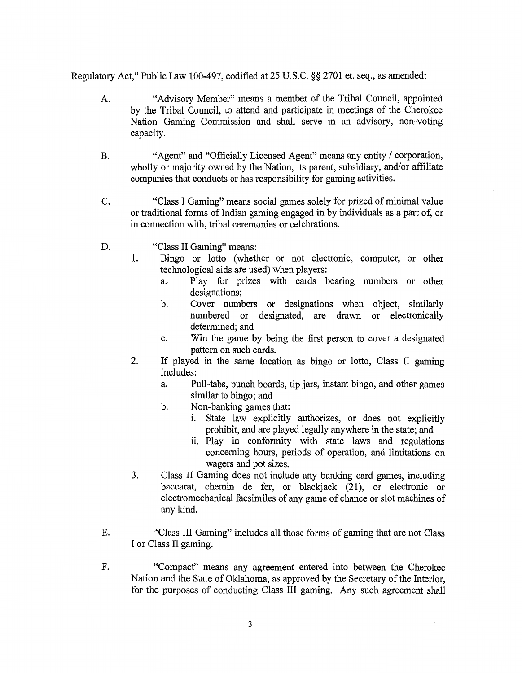Regulatory Act," Public Law 100-497, codified at 25 U.S.C. §§ 2701 et. seq., as amended:

- A. "Advisory Member" means a member of the Tribal Council, appointed by the Tribal Council, to attend and participate in meetings of the Cherokee Nation Gaming Commission and shall serve in an advisory, non-voting capacity.
- B. "Agent" and "Officially Licensed Agent" means any entity / corporation, wholly or majority owned by the Nation, its parent, subsidiary, and/or affiliate companies that conducts or has responsibility for gaming activities.
- C. "Class I Gaming" means social games solely for prized of minimal value or traditional forms of Indian gaming engaged in by individuals as a part of, or in connection with, tribal ceremonies or celebrations.
- D. "Class II Gaming" means:
	- 1. Bingo or lotto (whether or not electronic, computer, or other technological aids are used) when players:
		- a. Play for prizes with cards bearing numbers or other designations;
		- b. Cover numbers or designations when object, similarly numbered or designated, are drawn or electronically determined; and
		- c. Win the game by being the first person to cover a designated pattern on such cards.
	- 2. If played in the same location as bingo or lotto, Class II gaming includes:
		- a. Pull-tabs, punch boards, tip jars, instant bingo, and other games similar to bingo; and
		- b. Non-banking games that:
			- i. State law explicitly authorizes, or does not explicitly prohibit, and are played legally anywhere in the state; and
			- ii. Play in conformity with state laws and regulations concerning hours, periods of operation, and limitations on wagers and pot sizes.
	- 3. Class II Gaming does not include any banking card games, including baccarat, chemin de fer, or blackjack (21), or electronic or electromechanical facsimiles of any game of chance or slot machines of any kind.
- E. "Class III Gaming" includes all those forms of gaming that are not Class I or Class II gaming.
- F. "Compact" means any agreement entered into between the Cherokee Nation and the State of Oklahoma, as approved by the Secretary of the Interior, for the purposes of conducting Class III gaming. Any such agreement shall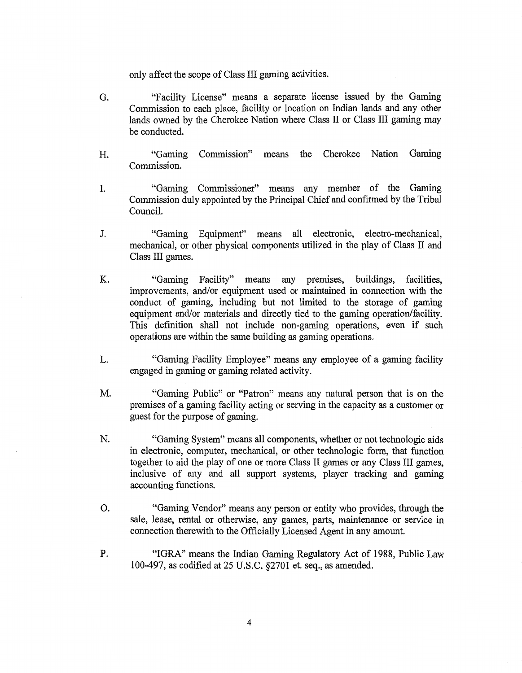only affect the scope of Class III gaming activities.

- G. "Facility License" means a separate license issued by the Gaming Commission to each place, facility or location on Indian lands and any other lands owned by the Cherokee Nation where Class II or Class III gaming may be conducted.
- H. "Gaming Commission" means the Cherokee Nation Gaming Commission.
- I. "Gaming Commissioner" means any member of the Gaming Commission duly appointed by the Principal Chief and confirmed by the Tribal Council.
- J. "Gaming Equipment" means all electronic, electro-mechanical, mechanical, or other physical components utilized in the play of Class II and Class III games.
- K. "Gaming Facility" means any premises, buildings, facilities, improvements, and/or equipment used or maintained in connection with the conduct of gaming, including but not limited to the storage of gaming equipment and/or materials and directly tied to the gaming operation/facility. This definition shall not include non-gaming operations, even if such operations are within the same building as gaming operations.
- L. "Gaming Facility Employee" means any employee of a gaming facility engaged in gaming or gaming related activity.
- M. "Gaming Public" or "Patron" means any natural person that is on the premises of a gaming facility acting or serving in the capacity as a customer or guest for the purpose of gaming.
- N. "Gaming System" means all components, whether or not technologic aids in electronic, computer, mechanical, or other technologic form, that function together to aid the play of one or more Class II games or any Class III games, inclusive of any and all support systems, player tracking and gaming accounting functions.
- 0. "Gaming Vendor" means any person or entity who provides, through the sale, lease, rental or otherwise, any games, parts, maintenance or service in connection therewith to the Officially Licensed Agent in any amount.
- P. "IGRA" means the Indian Gaming Regulatory Act of 1988, Public Law 100-497, as codified at 25 U.S.C. §2701 et. seq., as amended.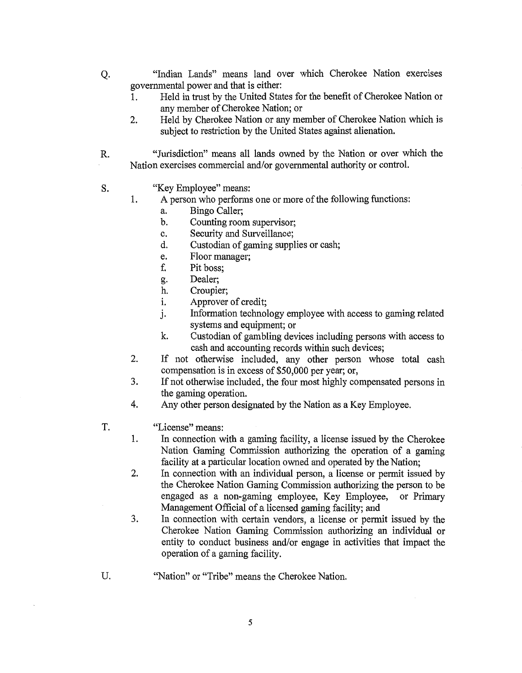- Q. "Indian Lands" means land over which Cherokee Nation exercises governmental power and that is either:
	- 1. Held in trust by the United States for the benefit of Cherokee Nation or any member of Cherokee Nation; or
	- 2. Held by Cherokee Nation or any member of Cherokee Nation which is subject to restriction by the United States against alienation.
- R. "Jurisdiction" means all lands owned by the Nation or over which the Nation exercises commercial and/or governmental authority or control.
- S. "Key Employee" means:<br>1. A person who performs
	- A person who performs one or more of the following functions:
		- a. Bingo Caller;
		- b. Counting room supervisor;
		- c. Security and Surveillance;<br>d. Custodian of gaming suppl
		- Custodian of gaming supplies or cash;
		- e. Floor manager;<br>f. Pit boss:
		- Pit boss:
		- g. Dealer;
		- h. Croupier;
		- i. Approver of credit;<br>j. Information technol
		- Information technology employee with access to gaming related systems and equipment; or
		- k. Custodian of gambling devices including persons with access to cash and accounting records within such devices;
	- 2. If not otherwise included, any other person whose total cash compensation is in excess of \$50,000 per year; or,
	- 3. If not otherwise included, the four most highly compensated persons in the gaming operation.
	- 4. Any other person designated by the Nation as a Key Employee.
- T. "License" means:
	- 1. In connection with a gaming facility, a license issued by the Cherokee Nation Gaming Commission authorizing the operation of a gaming facility at a particular location owned and operated by the Nation;
	- 2. In connection with an individual person, a license or pennit issued by the Cherokee Nation Gaming Commission authorizing the person to be engaged as a non-gaming employee. Key Employee, or Primary engaged as a non-gaming employee, Key Employee, Management Official of a licensed gaming facility; and
	- 3. In connection with certain vendors, a license or permit issued by the Cherokee Nation Gaming Commission authorizing an individual or entity to conduct business and/or engage in activities that impact the operation of a gaming facility.
- U. "Nation" or "Tribe" means the Cherokee Nation.
	- 5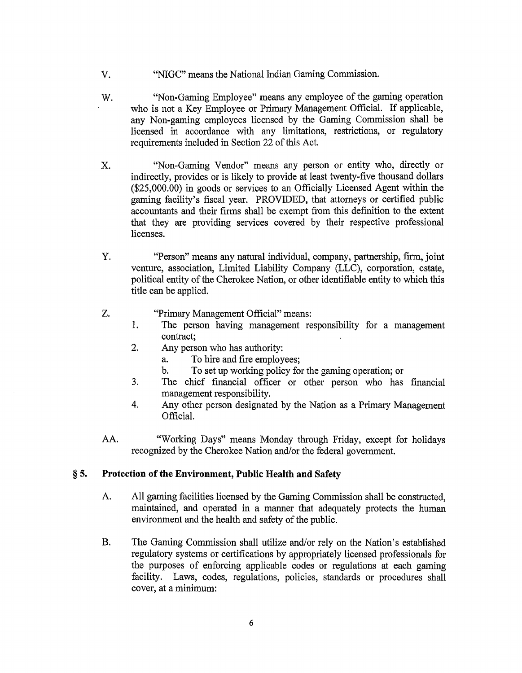- V. "NIGC" means the National Indian Gaming Commission.
- W. "Non-Gaming Employee" means any employee of the gaming operation who is not a Key Employee or Primary Management Official. If applicable, any Non-gaming employees licensed by the Gaming Commission shall be licensed in accordance with any limitations, restrictions, or regulatory requirements included in Section 22 of this Act.
- X. "Non-Gaming Vendor" means any person or entity who, directly or indirectly, provides or is likely to provide at least twenty-five thousand dollars (\$25,000.00) in goods or services to an Officially Licensed Agent within the gaming facility's fiscal year. PROVIDED, that attorneys or certified public accountants and their firms shall be exempt from this definition to the extent that they are providing services covered by their respective professional licenses.
- Y. "Person" means any natural individual, company, partnership, firm, joint venture, association, Limited Liability Company (LLC), corporation, estate, political entity of the Cherokee Nation, or other identifiable entity to which this title can be applied.
- Z. "Primary Management Official" means:
	- 1. The person having management responsibility for a management contract;
	- 2. Any person who has authority:
		- a. To hire and fire employees;
		- b. To set up working policy for the gaming operation; or
	- 3. The chief financial officer or other person who has financial management responsibility.
	- 4. Any other person designated by the Nation as a Primary Management Official.
- AA. "Working Days" means Monday through Friday, except for holidays recognized by the Cherokee Nation and/or the federal government.

#### § **5. Protection of the Environment, Public Health and Safety**

- A. All gaming facilities licensed by the Gaming Commission shall be constructed, maintained, and operated in a manner that adequately protects the human environment and the health and safety of the public.
- B. The Gaming Commission shall utilize and/or rely on the Nation's established regulatory systems or certifications by appropriately licensed professionals for the purposes of enforcing applicable codes or regulations at each gaming facility. Laws, codes, regulations, policies, standards or procedures shall cover, at a minimum: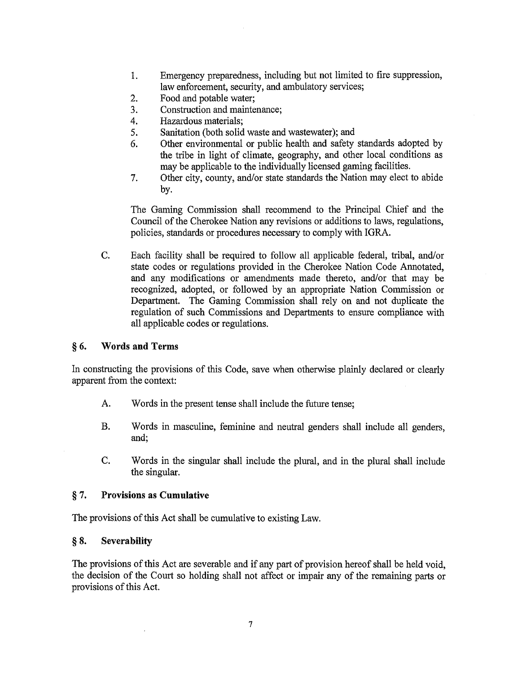- 1. Emergency preparedness, including but not limited to fire suppression, law enforcement, security, and ambulatory services;
- 2. Food and potable water;
- 3. Construction and maintenance;
- 4. Hazardous materials;
- 5. Sanitation (both solid waste and wastewater); and
- 6. Other environmental or public health and safety standards adopted by the tribe in light of climate, geography, and other local conditions as may be applicable to the individually licensed gaming facilities.
- 7. Other city, county, and/or state standards the Nation may elect to abide by.

The Gaming Commission shall recommend to the Principal Chief and the Council of the Cherokee Nation any revisions or additions to laws, regulations, policies, standards or procedures necessary to comply with IGRA.

C. Each facility shall be required to follow all applicable federal, tribal, and/or state codes or regulations provided in the Cherokee Nation Code Annotated, and any modifications or amendments made thereto, and/or that may be recognized, adopted, or followed by an appropriate Nation Commission or Department. The Gaming Commission shall rely on and not duplicate the regulation of such Commissions and Departments to ensure compliance with all applicable codes or regulations.

#### § **6. Words and Terms**

In constructing the provisions of this Code, save when otherwise plainly declared or clearly apparent from the context:

- A. Words in the present tense shall include the future tense;
- B. Words in masculine, feminine and neutral genders shall include all genders, and;
- C. Words in the singular shall include the plural, and in the plural shall include the singular.

#### § **7. Provisions as Cumulative**

The provisions of this Act shall be cumulative to existing Law.

#### § **8. Severability**

The provisions of this Act are severable and if any part of provision hereof shall be held void, the decision of the Court so holding shall not affect or impair any of the remaining parts or provisions of this Act.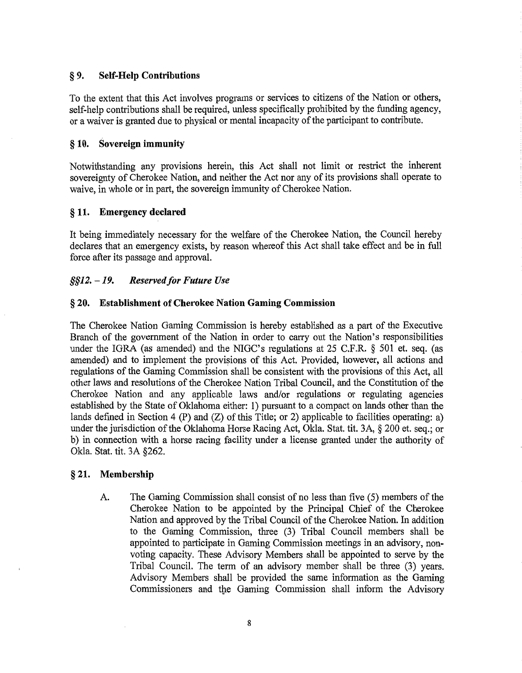#### § 9. Self-Help Contributions

To the extent that this Act involves programs or services to citizens of the Nation or others, self-help contributions shall be required, unless specifically prohibited by the funding agency, or a waiver is granted due to physical or mental incapacity of the participant to contribute.

#### § 10. Sovereign immunity

Notwithstanding any provisions herein, this Act shall not limit or restrict the inherent sovereignty of Cherokee Nation, and neither the Act nor any of its provisions shall operate to waive, in whole or in part, the sovereign immunity of Cherokee Nation.

#### § 11. Emergency declared

It being immediately necessary for the welfare of the Cherokee Nation, the Council hereby declares that an emergency exists, by reason whereof this Act shall take effect and be in full force after its passage and approval.

#### *§§12. -19. Reserved/or Future Use*

#### § 20. Establishment of Cherokee Nation Gaming Commission

The Cherokee Nation Gaming Commission is hereby established as a part of the Executive Branch of the government of the Nation in order to carry out the Nation's responsibilities under the IGRA (as amended) and the NIGC's regulations at 25 C.F.R. § 501 et. seq. (as amended) and to implement the provisions of this Act. Provided, however, all actions and regulations of the Gaming Commission shall be consistent with the provisions of this Act, all other laws and resolutions of the Cherokee Nation Tribal Council, and the Constitution of the Cherokee Nation and any applicable laws and/or regulations or regulating agencies established by the State of Oklahoma either: 1) pursuant to a compact on lands other than the lands defined in Section 4 (P) and (Z) of this Title; or 2) applicable to facilities operating: a) under the jurisdiction of the Oklahoma Horse Racing Act, Okla. Stat. tit. 3A, § 200 et. seq.; or b) in connection with a horse racing facility under a license granted under the authority of Okla. Stat. tit. 3A §262.

#### § 21. Membership

A. The Gaming Commission shall consist of no less than five (5) members of the Cherokee Nation to be appointed by the Principal Chief of the Cherokee Nation and approved by the Tribal Council of the Cherokee Nation. In addition to the Gaming Commission, three (3) Tribal Council members shall be appointed to participate in Gaming Commission meetings in an advisory, nonvoting capacity. These Advisory Members shall be appointed to serve by the Tribal Council. The term of an advisory member shall be three (3) years. Advisory Members shall be provided the same information as the Gaming Commissioners and the Gaming Commission shall inform the Advisory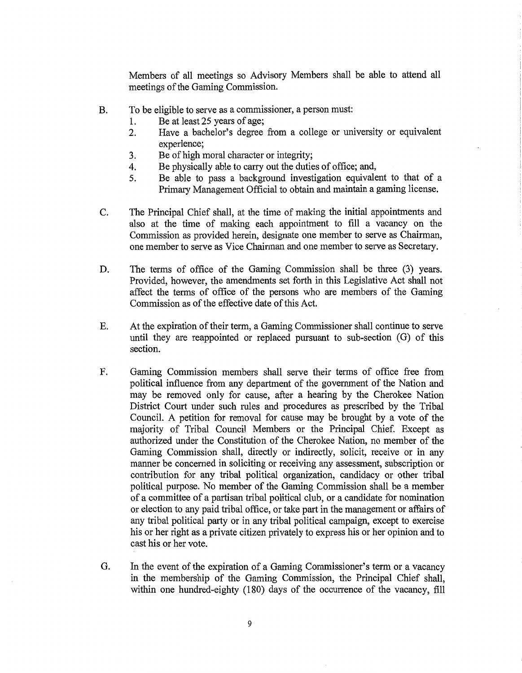Members of all meetings so Advisory Members shall be able to attend all meetings of the Gaming Commission.

- B. To be eligible to serve as a commissioner, a person must:
	- 1. Be at least 25 years of age;<br>2. Have a bachelor's degree
	- Have a bachelor's degree from a college or university or equivalent experience;
	- 3. Be of high moral character or integrity;<br>4. Be physically able to carry out the duties
	- Be physically able to carry out the duties of office; and,
	- 5. Be able to pass a background investigation equivalent to that of a Primary Management Official to obtain and maintain a gaming license.
- C. The Principal Chief shall, at the time of making the initial appointments and also at the time of making each appointment to fill a vacancy on the Commission as provided herein, designate one member to serve as Chairman, one member to serve as Vice Chairman and one member to serve as Secretary.
- D. The terms of office of the Gaming Commission shall be three (3) years. Provided, however, the amendments set forth in this Legislative Act shall not affect the terms of office of the persons who are members of the Gaming Commission as of the effective date of this Act.
- E. At the expiration of their term, a Gaming Commissioner shall continue to serve until they are reappointed or replaced pursuant to sub-section (G) of this section.
- F. Gaming Commission members shall serve their terms of office free from political influence from any department of the government of the Nation and may be removed only for cause, after a hearing by the Cherokee Nation District Court under such tules and procedures as prescribed by the Tribal Council. A petition for removal for cause may be brought by a vote of the majority of Tribal Council Members or the Principal Chief. Except as authorized under the Constitution of the Cherokee Nation, no member of the Gaming Commission shall, directly or indirectly, solicit, receive or in any manner be concerned in soliciting or receiving any assessment, subscription or contribution for any tribal political organization, candidacy or other tribal political purpose. No member of the Gaming Commission shall be a member of a committee of a partisan tribal political club, or a candidate for nomination or election to any paid tribal office, or take part in the management or affairs of any tribal political party or in any tribal political campaign, except to exercise his or her right as a private citizen privately to express his or her opinion and to cast his or her vote.
- G. In the event of the expiration of a Gaming Commissioner's term or a vacancy in the membership of the Gaming Commission, the Principal Chief shall, within one hundred-eighty (180) days of the occurrence of the vacancy, fill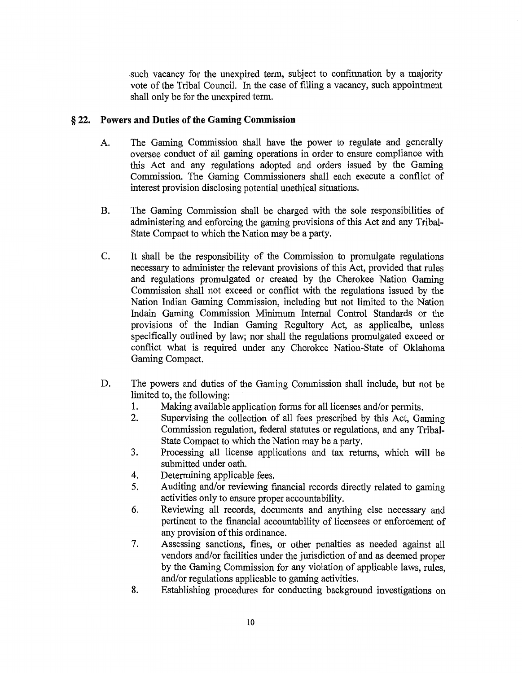.such vacancy for the unexpired term, subject to confirmation by a majority vote of the Tribal Council. In the case of filling a vacancy, such appointment shall only be for the unexpired term.

#### § **22. Powers and Duties of the Gaming Commission**

- A. The Gaming Commission shall have the power to regulate and generally oversee conduct of all gaming operations in order to ensure compliance with this Act and any regulations adopted and orders issued by the Gaming Commission. The Gaming Commissioners shall each execute a conflict of interest provision disclosing potential unethical situations.
- B. The Gaming Commission shall be charged with the sole responsibilities of administering and enforcing the gaming provisions of this Act and any Tribal-State Compact to which the Nation may be a party.
- C. It shall be the responsibility of the Commission to promulgate regulations necessary to administer the relevant provisions of this Act, provided that rules and regulations promulgated or created by the Cherokee Nation Gaming Commission shall not exceed or conflict with the regulations issued by the Nation Indian Gaming Commission, including but not limited to the Nation Indain Gaming Commission Minimum Internal Control Standards or the provisions of the Indian Gaming Regultory Act, as applicalbe, unless specifically outlined by law; nor shall the regulations promulgated exceed or conflict what is required under any Cherokee Nation-State of Oklahoma Gaming Compact.
- D. The powers and duties of the Gaming Commission shall include, but not be limited to, the following:
	- 1. Making available application forms for all licenses and/or permits.<br>2. Supervising the collection of all fees prescribed by this Act, Ga
	- Supervising the collection of all fees prescribed by this Act, Gaming Commission regulation, federal statutes or regulations, and any Tribal-State Compact to which the Nation may be a party.
	- 3. Processing all license applications and tax returns, which will be submitted under oath.
	- 4. Determining applicable fees.
	- 5. Auditing and/or reviewing financial records directly related to gaming activities only to ensure proper accountability.
	- 6. Reviewing all records, documents and anything else necessary and pertinent to the financial accountability of licensees or enforcement of any provision of this ordinance.
	- 7. Assessing sanctions, fines, or other penalties as needed against all vendors and/or facilities under the jurisdiction of and as deemed proper by the Gaming Commission for any violation of applicable laws, rules, and/or regulations applicable to gaming activities.
	- 8. Establishing procedures for conducting background investigations on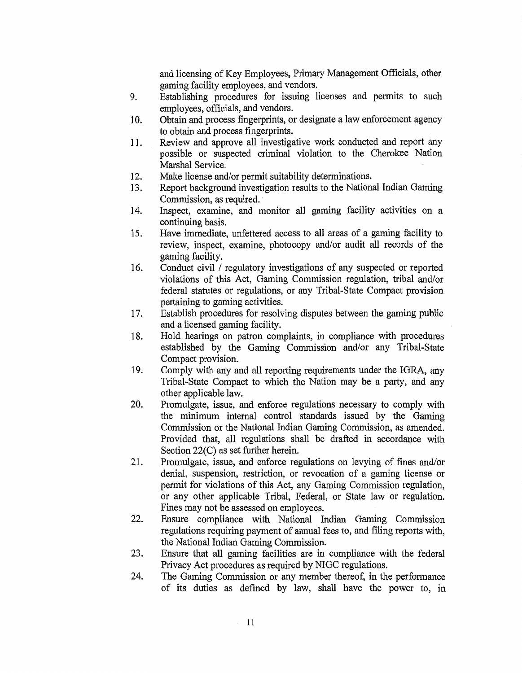and licensing of Key Employees, Primary Management Officials, other gaming facility employees, and vendors.

- 9. Establishing procedures for issuing licenses and permits to such employees, officials, and vendors.
- 10. Obtain and process fingerprints, or designate a law enforcement agency to obtain and process fingerprints.
- 11. Review and approve all investigative work conducted and report any possible or suspected criminal violation to the Cherokee Nation Marshal Service.
- 12. Make license and/or permit suitability determinations.
- 13. Report background investigation results to the National Indian Gaming Commission, as required.
- 14. Inspect, examine, and monitor all gaming facility activities on a continuing basis.
- 15. Have immediate, unfettered access to all areas of a gaming facility to review, inspect, examine, photocopy and/or audit all records of the gaming facility.
- 16. Conduct civil / regulatory investigations of any suspected or reported violations of this Act, Gaming Commission regulation, tribal and/or federal statutes or regulations, or any Tribal-State Compact provision pertaining to gaming activities.
- 17. Establish procedures for resolving disputes between the gaming public and a licensed gaming facility.
- 18. Hold hearings on patron complaints, in compliance with procedures established by the Gaming Commission and/or any Tribal-State Compact provision.
- 19. Comply with any and all reporting requirements under the IGRA, any Tribal-State Compact to which the Nation may be a party, and any other applicable law.
- 20. Promulgate, issue, and enforce regulations necessary to comply with the minimum internal control standards issued by the Gaming Commission or the National Indian Gaming Commission, as amended. Provided that, all regulations shall be drafted in accordance with Section 22(C) as set further herein.
- 21. Promulgate, issue, and enforce regulations on levying of fines and/or denial, suspension, restriction, or revocation of a gaming license or permit for violations of this Act, any Gaming Commission regulation, or any other applicable Tribal, Federal, or State law or regulation. Fines may not be assessed on employees.
- 22. Ensure compliance with National Indian Gaming Commission regulations requiring payment of annual fees to, and filing reports with, the National Indian Gaming Commission.
- 23. Ensure that all gaming facilities are in compliance with the federal Privacy Act procedures as required by NIGC regulations.
- 24. The Gaming Commission or any member thereof, in the performance of its duties as defined by law, shall have the power to, in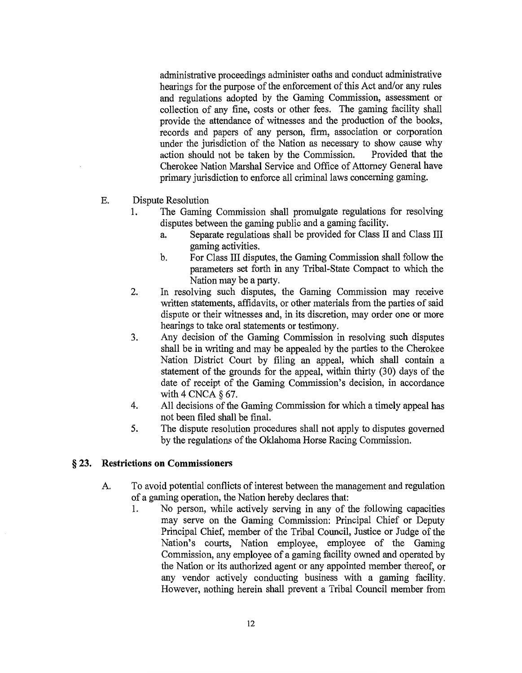administrative proceedings administer oaths and conduct administrative hearings for the purpose of the enforcement of this Act and/or any rules and regulations adopted by the Gaming Commission, assessment or collection of any fine, costs or other fees. The gaming facility shall provide the attendance of witnesses and the production of the books, records and papers of any person, firm, association or corporation under the jurisdiction of the Nation as necessary to show cause why action should not be taken by the Commission. Provided that the action should not be taken by the Commission. Cherokee Nation Marshal Service and Office of Attorney General have primary jurisdiction to enforce all criminal laws concerning gaming.

- E. Dispute Resolution
	- 1. The Gaming Commission shall promulgate regulations for resolving disputes between the gaming public and a gaming facility.
		- a. Separate regulations shall be provided for Class II and Class III gaming activities.
		- b. For Class III disputes, the Gaming Commission shall follow the parameters set forth in any Tribal-State Compact to which the Nation may be a party.
	- 2. In resolving such disputes, the Gaming Commission may receive written statements, affidavits, or other materials from the parties of said dispute or their witnesses and, in its discretion, may order one or more hearings to take oral statements or testimony.
	- 3. Any decision of the Gaming Commission in resolving such disputes shall be in writing and may be appealed by the parties to the Cherokee Nation District Court by filing an appeal, which shall contain a statement of the grounds for the appeal, within thirty (30) days of the date of receipt of the Gaming Commission's decision, in accordance with 4 CNCA § 67.
	- 4. All decisions of the Gaming Commission for which a timely appeal has not been filed shall be final.
	- 5. The dispute resolution procedures shall not apply to disputes governed by the regulations of the Oklahoma Horse Racing Commission.

#### § **23. Restrictions on Commissioners**

- A. To avoid potential conflicts of interest between the management and regulation of a gaming operation, the Nation hereby declares that:
	- 1. No person, while actively serving in any of the following capacities may serve on the Gaming Commission: Principal Chief or Deputy Principal Chief, member of the Tribal Council, Justice or Judge of the Nation's courts, Nation employee, employee of the Gaming Commission, any employee of a gaming facility owned and operated by the Nation or its authorized agent or any appointed member thereof, or any vendor actively conducting business with a gaming facility. However, nothing herein shall prevent a Tribal Council member from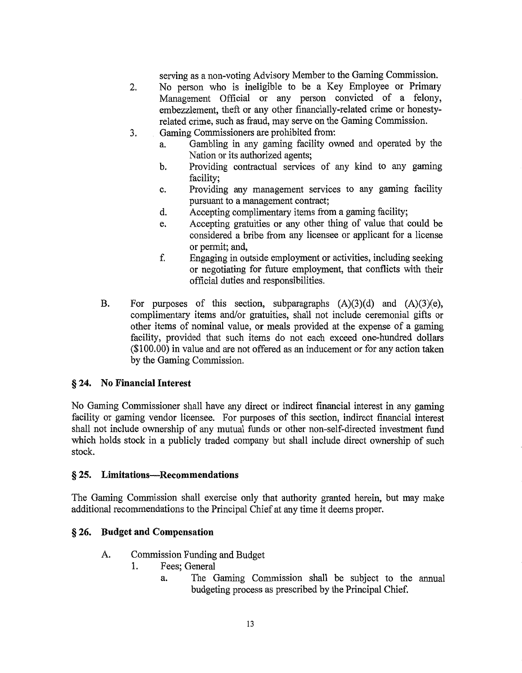serving as a non-voting Advisory Member to the Gaming Commission.

- 2. No person who is ineligible to be a Key Employee or Primary Management Official or any person convicted of a felony, embezzlement, theft or any other financially-related crime or honestyrelated crime, such as fraud, may serve on the Gaming Commission.
- 3. Gaming Commissioners are prohibited from:
	- a. Gambling in any gaming facility owned and operated by the Nation or its authorized agents;
	- b. Providing contractual services of any kind to any gaming facility;
	- c. Providing any management services to any gaming facility pursuant to a management contract;
	- d. Accepting complimentary items from a gaming facility;
	- e. Accepting gratuities or any other thing of value that could be considered a bribe from any licensee or applicant for a license or permit; and,
	- f. Engaging in outside employment or activities, including seeking or negotiating for future employment, that conflicts with their official duties and responsibilities.
- B. For purposes of this section, subparagraphs (A)(3)(d) and (A)(3)(e), complimentary items and/or gratuities, shall not include ceremonial gifts or other items of nominal value, or meals provided at the expense of a gaming facility, provided that such items do not each exceed one-hundred dollars (\$100.00) in value and are not offered as an inducement or for any action taken by the Gaming Commission.

#### § **24. No Financial Interest**

No Gaming Commissioner shall have any direct or indirect financial interest in any gaming facility or gaming vendor licensee. For purposes of this section, indirect financial interest shall not include ownership of any mutual funds or other non-self-directed investment fund which holds stock in a publicly traded company but shall include direct ownership of such stock.

#### § **25. Limitations-Recommendations**

The Gaming Commission shall exercise only that authority granted herein, but may make additional recommendations to the Principal Chief at any time it deems proper.

#### § **26. Budget and Compensation**

- A. Commission Funding and Budget
	- 1. Fees; General
		- a. The Gaming Commission shall be subject to the annual budgeting process as prescribed by the Principal Chief.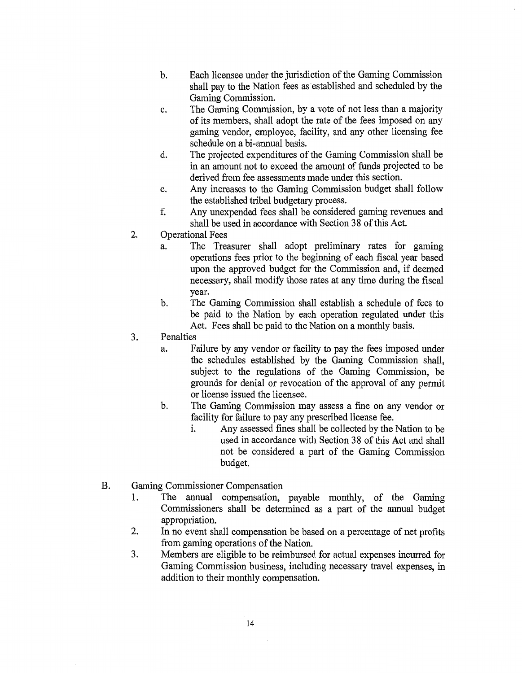- b. Each licensee under the jurisdiction of the Gaming Commission shall pay to the Nation fees as established and scheduled by the Gaming Commission.
- c. The Gaming Commission, by a vote of not less than a majority of its members, shall adopt the rate of the fees imposed on any gaming vendor, employee, facility, and any other licensing fee schedule on a bi~annual basis.
- d. The projected expenditures of the Gaming Commission shall be in an amount not to exceed the amount of funds projected to be derived from fee assessments made under this section.
- e. Any increases to the Gaming Commission budget shall follow the established tribal budgetary process.
- f. Any unexpended fees shall be considered gaming revenues and shall be used in accordance with Section 38 of this Act.
- 2. Operational Fees
	- a. The Treasurer shall adopt preliminary rates for gaming operations fees prior to the beginning of each fiscal year based upon the approved budget for the Commission and, if deemed necessary, shall modify those rates at any time during the fiscal year.
	- b. The Gaming Commission shall establish a schedule of fees to be paid to the Nation by each operation regulated under this Act. Fees shall be paid to the Nation on a monthly basis.
- 3. Penalties
	- a. Failure by any vendor or facility to pay the fees imposed under the schedules established by the Gaming Commission shall, subject to the regulations of the Gaming Commission, be grounds for denial or revocation of the approval of any permit or license issued the licensee.
	- b. The Gaming Commission may assess a fine on any vendor or facility for failure to pay any prescribed license fee.
		- i. Any assessed fines shall be collected by the Nation to be used in accordance with Section 38 of this Act and shall not be considered a part of the Gaming Commission budget.
- B. Gaming Commissioner Compensation
	- 1. The annual compensation, payable monthly, of the Gaming Commissioners shall be determined as a part of the annual budget appropriation.
	- 2. In no event shall compensation be based on a percentage of net profits from gaming operations of the Nation.
	- 3. Members are eligible to be reimbursed for actual expenses incurred for Gaming Commission business, including necessary travel expenses, in addition to their monthly compensation.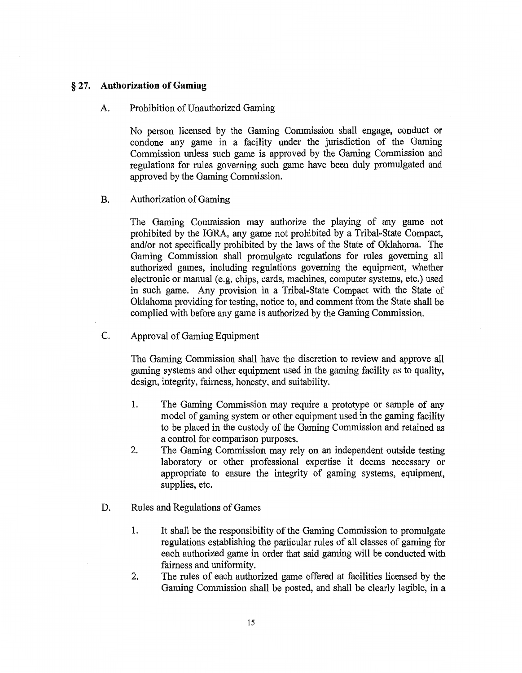#### § 27. **Authorization of Gaming**

A. Prohibition of Unauthorized Gaming

No person licensed by the Gaming Commission shall engage, conduct or condone any game in a facility under the jurisdiction of the Gaming Commission unless such game is approved by the Gaming Commission and regulations for rules governing such game have been duly promulgated and approved by the Gaming Commission.

B. Authorization of Gaming

The Gaming Commission may authorize the playing of any game not prohibited by the IGRA, any game not prohibited by a Tribal-State Compact, and/or not specifically prohibited by the laws of the State of Oklahoma. The Gaming Commission shall promulgate regulations for rules governing all authorized games, including regulations governing the equipment, whether electronic or manual (e.g. chips, cards, machines, computer systems, etc.) used in such game. Any provision in a Tribal-State Compact with the State of Oklahoma providing for testing, notice to, and comment from the State shall be complied with before any game is authorized by the Gaming Commission.

C. Approval of Gaming Equipment

The Gaming Commission shall have the discretion to review and approve all gaming systems and other equipment used in the gaming facility as to quality, design, integrity, fairness, honesty, and suitability.

- 1. The Gaming Commission may require a prototype or sample of any model of gaming system or other equipment used in the gaming facility to be placed in the custody of the Gaming Commission and retained as a control for comparison purposes.
- 2. The Gaming Commission may rely on an independent outside testing laboratory or other professional expertise it deems necessary or appropriate to ensure the integrity of gaming systems, equipment, supplies, etc.
- D. Rules and Regulations of Games
	- 1. It shall be the responsibility of the Gaming Commission to promulgate regulations establishing the particular rules of all classes of gaming for each authorized game in order that said gaming will be conducted with fairness and uniformity.
	- 2. The rules of each authorized game offered at facilities licensed by the Gaming Commission shall be posted, and shall be clearly legible, in a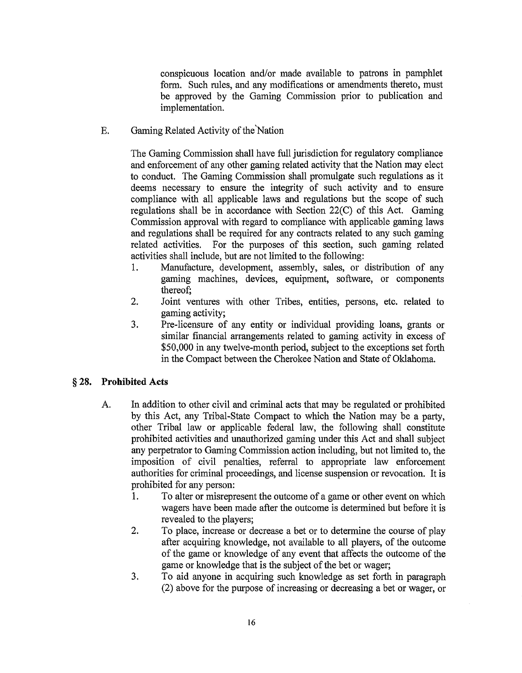conspicuous location and/or made available to patrons in pamphlet form. Such rules, and any modifications or amendments thereto, must be approved by the Gaming Commission prior to publication and implementation.

E. Gaming Related Activity of the Nation

The Gaming Commission shall have full jurisdiction for regulatory compliance and enforcement of any other gaming related activity that the Nation may elect to conduct. The Gaming Commission shall promulgate such regulations as it deems necessary to ensure the integrity of such activity and to ensure compliance with all applicable laws and regulations but the scope of such regulations shall be in accordance with Section 22(C) of this Act. Gaming Commission approval with regard to compliance with applicable gaming laws and regulations shall be required for any contracts related to any such gaming related activities. For the purposes of this section, such gaming related activities shall include, but are not limited to the following:

- 1. Manufacture, development, assembly, sales, or distribution of any gaming machines, devices, equipment, software, or components thereof;
- 2. Joint ventures with other Tribes, entities, persons, etc. related to gaming activity;
- 3. Pre-licensure of any entity or individual providing loans, grants or similar financial arrangements related to gaming activity in excess of \$50,000 in any twelve-month period, subject to the exceptions set forth in the Compact between the Cherokee Nation and State of Oklahoma.

## § **28. Prohibited Acts**

- A. In addition to other civil and criminal acts that may be regulated or prohibited by this Act, any Tribal-State Compact to which the Nation may be a party, other Tribal law or applicable federal law, the following shall constitute prohibited activities and unauthorized gaming under this Act and shall subject any perpetrator to Gaming Commission action including, but not limited to, the imposition of civil penalties, referral to appropriate law enforcement authorities for criminal proceedings, and license suspension or revocation. It is prohibited for any person:
	- 1. To alter or misrepresent the outcome of a game or other event on which wagers have been made after the outcome is determined but before it is revealed to the players;
	- 2. To place, increase or decrease a bet or to determine the course of play after acquiring knowledge, not available to all players, of the outcome of the game or knowledge of any event that affects the outcome of the game or knowledge that is the subject of the bet or wager;
	- 3. To aid anyone in acquiring such knowledge as set forth in paragraph (2) above for the purpose of increasing or decreasing a bet or wager, or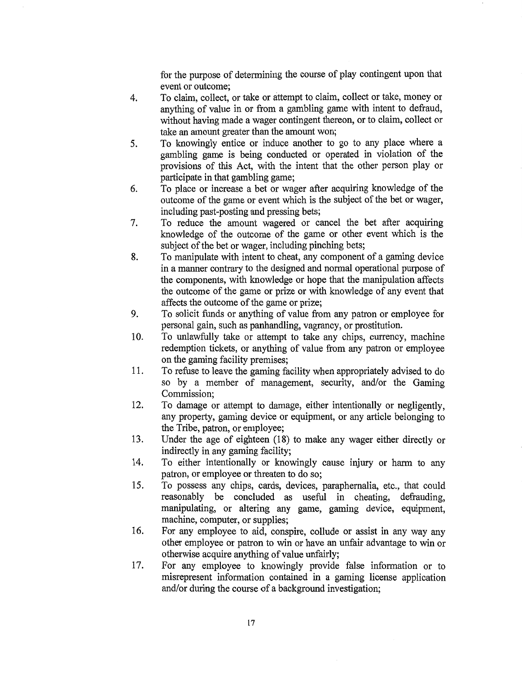for the purpose of determining the course of play contingent upon that event or outcome;

- 4. To claim, collect, or take or attempt to claim, collect or take, money or anything of value in or from a gambling game with intent to defraud, without having made a wager contingent thereon, or to claim, collect or take an amount greater than the amount won;
- 5. To knowingly entice or induce another to go to any place where a gambling game is being conducted or operated in violation of the provisions of this Act, with the intent that the other person play or participate in that gambling game;
- 6. To place or increase a bet or wager after acquiring knowledge of the outcome of the game or event which is the subject of the bet or wager, including past-posting and pressing bets;
- 7. To reduce the amount wagered or cancel the bet after acquiring knowledge of the outcome of the game or other event which is the subject of the bet or wager, including pinching bets;
- 8. To manipulate with intent to cheat, any component of a gaming device in a manner contrary to the designed and normal operational purpose of the components, with knowledge or hope that the manipulation affects the outcome of the game or prize or with knowledge of any event that affects the outcome of the game or prize;
- 9. To solicit funds or anything of value from any patron or employee for personal gain, such as panhandling, vagrancy, or prostitution.
- 10. To unlawfully take or attempt to take any chips, currency, machine redemption tickets, or anything of value from any patron or employee on the gaming facility premises;
- 11. To refuse to leave the gaming facility when appropriately advised to do so by a member of management, security, and/or the Gaming Commission;
- 12. To damage or attempt to damage, either intentionally or negligently, any property, gaming device or equipment, or any article belonging to the Tribe, patron, or employee;
- 13. Under the age of eighteen (18) to make any wager either directly or indirectly in any gaming facility;
- 14. To either intentionally or knowingly cause injury or harm to any patron, or employee or threaten to do so;
- 15. To possess any chips, cards, devices, paraphernalia, etc., that could reasonably be concluded as useful in cheating, defrauding, manipulating, or altering any game, gaming device, equipment, machine, computer, or supplies;
- 16. For any employee to aid, conspire, collude or assist in any way any other employee or patron to win or have an unfair advantage to win or otherwise acquire anything of value unfairly;
- 17. For any employee to knowingly provide false information or to misrepresent information contained in a gaming license application and/or during the course of a background investigation;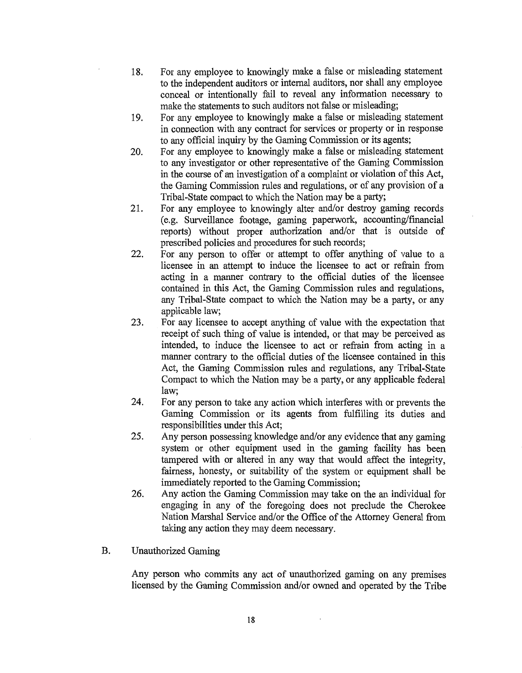- 18. For any employee to knowingly make a false or misleading statement to the independent auditors or internal auditors, nor shall any employee conceal or intentionally fail to reveal any information necessary to make the statements to such auditors not false or misleading;
- 19. For any employee to knowingly make a false or misleading statement in connection with any contract for services or property or in response to any official inquiry by the Gaming Commission or its agents;
- 20. For any employee to knowingly make a false or misleading statement to any investigator or other representative of the Gaming Commission in the course of an investigation of a complaint or violation of this Act, the Gaming Commission rules and regulations, or of any provision of a Tribal-State compact to which the Nation may be a party;
- 21. For any employee to knowingly alter and/or destroy gaming records (e.g. Surveillance footage, gaming paperwork, accounting/financial reports) without proper authorization and/or that is outside of prescribed policies and procedures for such records;
- 22. For any person to offer or attempt to offer anything of value to a licensee in an attempt to induce the licensee to act or refrain from acting in a manner contrary to the official duties of the licensee contained in this Act, the Gaming Commission rules and regulations, any Tribal-State compact to which the Nation may be a party, or any applicable law;
- 23. For any licensee to accept anything of value with the expectation that receipt of such thing of value is intended, or that may be perceived as intended, to induce the licensee to act or refrain from acting in a manner contrary to the official duties of the licensee contained in this Act, the Gaming Commission rules and regulations, any Tribal-State Compact to which the Nation may be a party, or any applicable federal law;
- 24. For any person to take any action which interferes with or prevents the Gaming Commission or its agents from fulfilling its duties and responsibilities under this Act;
- 25. Any person possessing knowledge and/or any evidence that any gaming system or other equipment used in the gaming facility has been tampered with or altered in any way that would affect the integrity, fairness, honesty, or suitability of the system or equipment shall be immediately reported to the Gaming Commission;
- 26. Any action the Gaming Commission may take on the an individual for engaging in any of the foregoing does not preclude the Cherokee Nation Marshal Service and/or the Office of the Attorney General from taking any action they may deem necessary.

#### B. Unauthorized Gaming

Any person who commits any act of unauthorized gaming on any premises licensed by the Gaming Commission and/or owned and operated by the Tribe

 $\hat{\mathbf{r}}$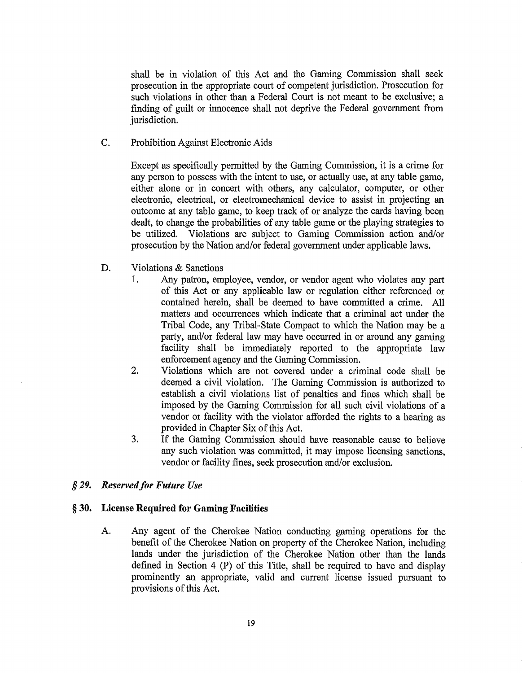shall be in violation of this Act and the Gaming Commission shall seek prosecution in the appropriate court of competent jurisdiction. Prosecution for such violations in other than a Federal Court is not meant to be exclusive; a finding of guilt or innocence shall not deprive the Federal government from jurisdiction.

C. Prohibition Against Electronic Aids

Except as specifically permitted by the Gaming Commission, it is a crime for any person to possess with the intent to use, or actually use, at any table game, either alone or in concert with others, any calculator, computer, or other electronic, electrical, or electromechanical device to assist in projecting an outcome at any table game, to keep track of or analyze the cards having been dealt, to change the probabilities of any table game or the playing strategies to be utilized. Violations are subject to Gaming Commission action and/or prosecution by the Nation and/or federal government under applicable laws.

- D. Violations & Sanctions
	- 1. Any patron, employee, vendor, or vendor agent who violates any part of this Act or any applicable law or regulation either referenced or contained herein, shall be deemed to have committed a crime. All matters and occurrences which indicate that a criminal act under the Tribal Code, any Tribal-State Compact to which the Nation may be a party, and/or federal law may have occurred in or around any gaming facility shall be immediately reported to the appropriate law enforcement agency and the Gaming Commission.
	- 2. Violations which are not covered under a criminal code shall be deemed a civil violation. The Gaming Commission is authorized to establish a civil violations list of penalties and fines which shall be imposed by the Gaming Commission for all such civil violations of a vendor or facility with the violator afforded the rights to a hearing as provided in Chapter Six of this Act.
	- 3. If the Gaming Commission should have reasonable cause to believe any such violation was committed, it may impose licensing sanctions, vendor or facility fines, seek prosecution and/or exclusion.

#### *§ 29. Reserved/or Future Use*

#### § 30. License Required for Gaming Facilities

A. Any agent of the Cherokee Nation conducting gaming operations for the benefit of the Cherokee Nation on property of the Cherokee Nation, including lands under the jurisdiction of the Cherokee Nation other than the lands defined in Section 4 (P) of this Title, shall be required to have and display prominently an appropriate, valid and current license issued pursuant to provisions of this Act.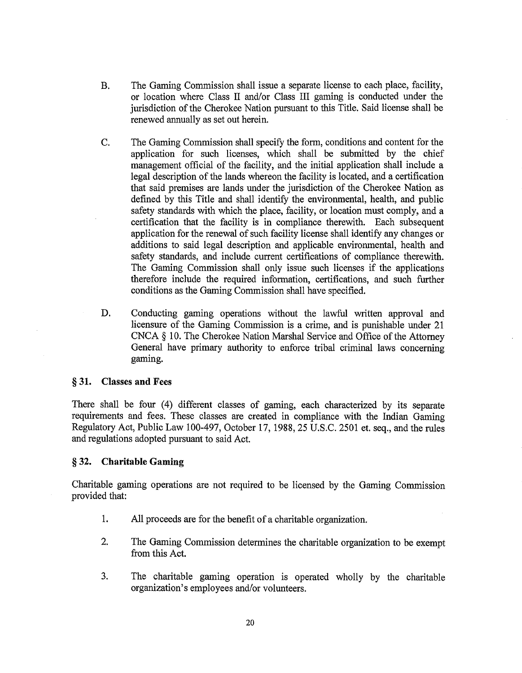- B. The Gaming Commission shall issue a separate license to each place, facility, or location where Class II and/or Class III gaming is conducted under the jurisdiction of the Cherokee Nation pursuant to this Title. Said license shall be renewed annually as set out herein.
- C. The Gaming Commission shall specify the form, conditions and content for the application for such licenses, which shall be submitted by the chief management official of the facility, and the initial application shall include a legal description of the lands whereon the facility is located, and a certification that said premises are lands under the jurisdiction of the Cherokee Nation as defined by this Title and shall identify the environmental, health, and public safety standards with which the place, facility, or location must comply, and a certification that the facility is in compliance therewith. Each subsequent application for the renewal of such facility license shall identify any changes or additions to said legal description and applicable environmental, health and safety standards, and include current certifications of compliance therewith. The Gaming Commission shall only issue such licenses if the applications therefore include the required information, certifications, and such further conditions as the Gaming Commission shall have specified.
- D. Conducting gaming operations without the lawful written approval and licensure of the Gaming Commission is a crime, and is punishable under 21 CNCA § 10. The Cherokee Nation Marshal Service and Office of the Attorney General have primary authority to enforce tribal criminal laws concerning gaming.

#### § 31. Classes **and** Fees

There shall be four (4) different classes of gaming, each characterized by its separate requirements and fees. These classes are created in compliance with the Indian Gaming Regulatory Act, Public Law 100-497, October 17, 1988, 25 U.S.C. 2501 et. seq., and the rules and regulations adopted pursuant to said Act.

#### § 32. **Charitable** Gaming

Charitable gaming operations are not required to be licensed by the Gaming Commission provided that:

- 1. All proceeds are for the benefit of a charitable organization.
- 2. The Gaming Commission determines the charitable organization to be exempt from this Act.
- 3. The charitable gaming operation is operated wholly by the charitable organization's employees and/or volunteers.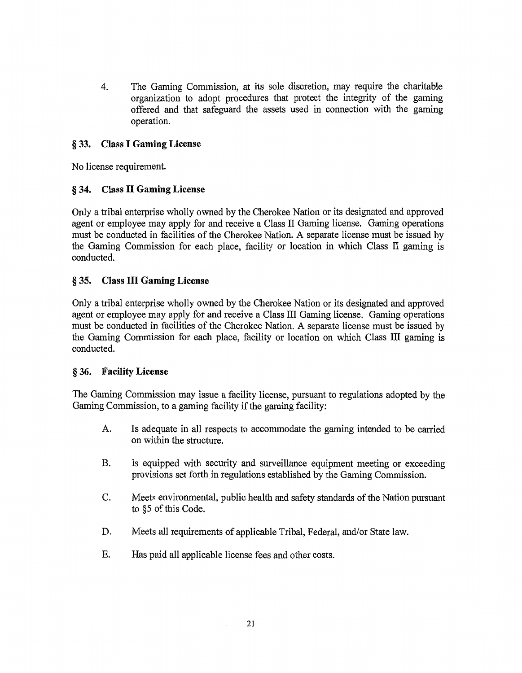4. The Gaming Commission, at its sole discretion, may require the charitable organization to adopt procedures that protect the integrity of the gaming offered and that safeguard the assets used in connection with the gaming operation.

## § 33. Class I Gaming License

No license requirement.

## § 34. Class II Gaming License

Only a tribal enterprise wholly owned by the Cherokee Nation or its designated and approved agent or employee may apply for and receive a Class II Gaming license. Gaming operations must be conducted in facilities of the Cherokee Nation. A separate license must be issued by the Gaming Commission for each place, facility or location in which Class II gaming is conducted.

## § 35. Class III Gaming License

Only a tribal enterprise wholly owned by the Cherokee Nation or its designated and approved agent or employee may apply for and receive a Class III Gaming license. Gaming operations must be conducted in facilities of the Cherokee Nation. A separate license must be issued by the Gaming Commission for each place, facility or location on which Class III gaming is conducted.

## § 36. Facility License

The Gaming Commission may issue a facility license, pursuant to regulations adopted by the Gaming Commission, to a gaming facility if the gaming facility:

- A. Is adequate in all respects to accommodate the gaming intended to be carried on within the structure.
- B. Is equipped with security and surveillance equipment meeting or exceeding provisions set forth in regulations established by the Gaming Commission.
- C. Meets environmental, public health and safety standards of the Nation pursuant to §5 of this Code.
- D. Meets all requirements of applicable Tribal, Federal, and/or State law.
- E. Has paid all applicable license fees and other costs.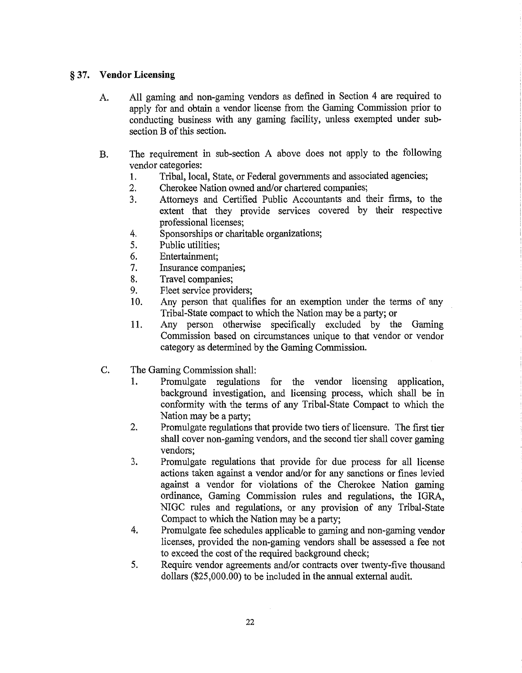## § 37. **Vendor Licensing**

- A. All gaming and non-gaming vendors as defined in Section 4 are required to apply for and obtain a vendor license from the Gaming Commission prior to conducting business with any gaming facility, unless exempted under subsection B of this section.
- B. The requirement in sub-section A above does not apply to the following vendor categories:
	- 1. Tribal, local, State, or Federal governments and associated agencies;<br>2. Cherokee Nation owned and/or chartered companies;
	-
	- 2. Cherokee Nation owned and/or chartered companies;<br>3. Attorneys and Certified Public Accountants and the 3. Attorneys and Certified Public Accountants and their firms, to the extent that they provide services covered by their respective professional licenses;
	- 4. Sponsorships or charitable organizations;
	- 5. Public utilities;
	- 6. Entertainment;<br>7. Insurance comm
	- Insurance companies;
	- 8. Travel companies;<br>9. Fleet service provi-
	- Fleet service providers;
	- 10. Any person that qualifies for an exemption under the terms of any Tribal-State compact to which the Nation may be a party; or
	- 11. Any person otherwise specifically excluded by the Gaming Commission based on circumstances unique to that vendor or vendor category as determined by the Gaming Commission.
- C. The Gaming Commission shall:
	- 1. Promulgate regulations for the vendor licensing application, background investigation, and licensing process, which shall be in conformity with the terms of any Tribal-State Compact to which the Nation may be a party;
	- 2. Promulgate regulations that provide two tiers of licensure. The first tier shall cover non-gaming vendors, and the second tier shall cover gaming vendors;
	- 3. Promulgate regulations that provide for due process for all license actions taken against a vendor and/or for any sanctions or fines levied against a vendor for violations of the Cherokee Nation gaming ordinance, Gaming Commission rules and regulations, the IGRA, NIGC rules and regulations, or any provision of any Tribal-State Compact to which the Nation may be a party;
	- 4. Promulgate fee schedules applicable to gaming and non-gaming vendor licenses, provided the non-gaming vendors shall be assessed a fee not to exceed the cost of the required background check;
	- 5. Require vendor agreements and/or contracts over twenty-five thousand dollars (\$25,000.00) to be included in the annual external audit.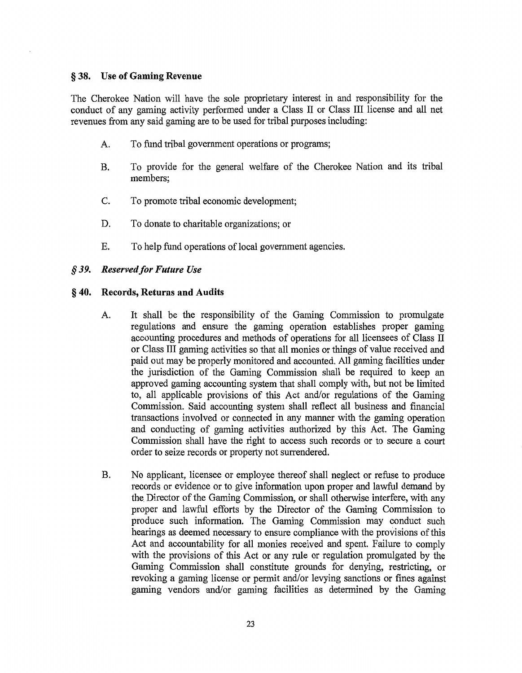#### § 38. Use of Gaming Revenue

The Cherokee Nation will have the sole proprietary interest in and responsibility for the conduct of any gaming activity performed under a Class II or Class III license and all net revenues from any said gaming are to be used for tribal purposes including:

- A. To fund tribal government operations or programs;
- B. To provide for the general welfare of the Cherokee Nation and its tribal members;
- C. To promote tribal economic development;
- D. To donate to charitable organizations; or
- E. To help fund operations of local government agencies.

#### *§ 39. Reserved/or Future Use*

#### § 40. Records, Returns and Audits

- A. It shall be the responsibility of the Gaming Commission to promulgate regulations and ensure the gaming operation establishes proper gaming accounting procedures and methods of operations for all licensees of Class II or Class III gaming activities so that all monies or things of value received and paid out may be properly monitored and accounted. All gaming facilities under the jurisdiction of the Gaming Commission shall be required to keep an approved gaming accounting system that shall comply with, but not be limited to, all applicable provisions of this Act and/or regulations of the Gaming Commission. Said accounting system shall reflect all business and financial transactions involved or connected in any manner with the gaming operation and conducting of gaming activities authorized by this Act. The Gaming Commission shall have the right to access such records or to secure a court order to seize records or property not surrendered.
- B. No applicant, licensee or employee thereof shall neglect or refuse to produce records or evidence or to give information upon proper and lawful demand by the Director of the Gaming Commission, or shall otherwise interfere, with any proper and lawful efforts by the Director of the Gaming Commission to produce such information. The Gaming Commission may conduct such hearings as deemed necessary to ensure compliance with the provisions of this Act and accountability for all monies received and spent. Failure to comply with the provisions of this Act or any rule or regulation promulgated by the Gaming Commission shall constitute grounds for denying, restricting, or revoking a gaming license or permit and/or levying sanctions or fines against gaming vendors and/or gaming facilities as determined by the Gaming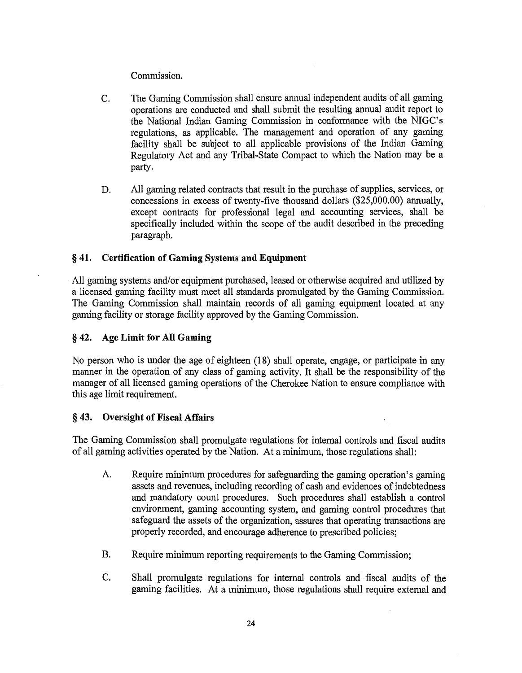#### Commission.

- C. The Gaming Commission shall ensure annual independent audits of all gaming operations are conducted and shall submit the resulting annual audit report to the National Indian Gaming Commission in conformance with the NIGC's regulations, as applicable. The management and operation of any gaming facility shall be subject to all applicable provisions of the Indian Gaming Regulatory Act and any Tribal~State Compact to which the Nation may be a party.
- D. All gaming related contracts that result in the purchase of supplies, services, or concessions in excess of twenty~five thousand dollars (\$25,000.00) annually, except contracts for professional legal and accounting services, shall be specifically included within the scope of the audit described in the preceding paragraph.

#### § 41. Certification of Gaming Systems and Equipment

All gaming systems and/or equipment purchased, leased or otherwise acquired and utilized by a licensed gaming facility must meet all standards promulgated by the Gaming Commission. The Gaming Commission shall maintain records of all gaming equipment located at any gaming facility or storage facility approved by the Gaming Commission.

#### § 42. Age Limit for All Gaming

No person who is under the age of eighteen (18) shall operate, engage, or participate in any manner in the operation of any class of gaming activity. It shall be the responsibility of the manager of all licensed gaming operations of the Cherokee Nation to ensure compliance with this age limit requirement.

#### § 43. Oversight of Fiscal Affairs

The Gaming Commission shall promulgate regulations for internal controls and fiscal audits of all gaming activities operated by the Nation. At a minimum, those regulations shall:

- A. Require minimum procedures for safeguarding the gaming operation's gaming assets and revenues, including recording of cash and evidences of indebtedness and mandatory count procedures. Such procedures shall establish a control environment, gaming accounting system, and gaming control procedures that safeguard the assets of the organization, assures that operating transactions are properly recorded, and encourage adherence to prescribed policies;
- B. Require minimum reporting requirements to the Gaming Commission;
- C. Shall promulgate regulations for internal controls and fiscal audits of the gaming facilities. At a minimum, those regulations shall require external and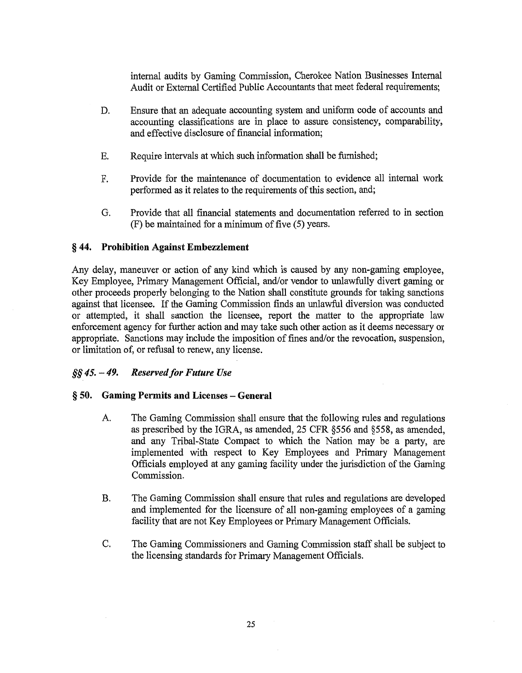internal audits by Gaming Commission, Cherokee Nation Businesses Internal Audit or External Certified Public Accountants that meet federal requirements;

- D. Ensure that an adequate accounting system and uniform code of accounts and accounting classifications are in place to assure consistency, comparability, and effective disclosure of financial information;
- E. Require intervals at which such information shall be furnished;
- F. Provide for the maintenance of documentation to evidence all internal work performed as it relates to the requirements of this section, and;
- G. Provide that all financial statements and documentation referred to in section (F) be maintained for a minimum of five (5) years.

#### § **44. Prohibition Against Embezzlement**

Any delay, maneuver or action of any kind which is caused by any non-gaming employee, Key Employee, Primary Management Official, and/or vendor to unlawfully divert gaming or other proceeds properly belonging to the Nation shall constitute grounds for taking sanctions against that licensee. If the Gaming Commission finds an unlawful diversion was conducted or attempted, it shall sanction the licensee, report the matter to the appropriate law enforcement agency for further action and may take such other action as it deems necessary or appropriate. Sanctions may include the imposition of fines and/or the revocation, suspension, or limitation of, or refusal to renew, any license.

#### §§ *45.* **-** *49. Reserved/or Future Use*

#### § **50. Gaming Permits and Licenses - General**

- A. The Gaming Commission shall ensure that the following rules and regulations as prescribed by the IGRA, as amended, 25 CPR §556 and §558, as amended, and any Tribal-State Compact to which the Nation may be a party, are implemented with respect to Key Employees and Primary Management Officials employed at any gaming facility under the jurisdiction of the Gaming Commission.
- B. The Gaming Commission shall ensure that rules and regulations are developed and implemented for the licensure of all non-gaming employees of a gaming facility that are not Key Employees or Primary Management Officials.
- C. The Gaming Commissioners and Gaming Commission staff shall be subject to the licensing standards for Primary Management Officials.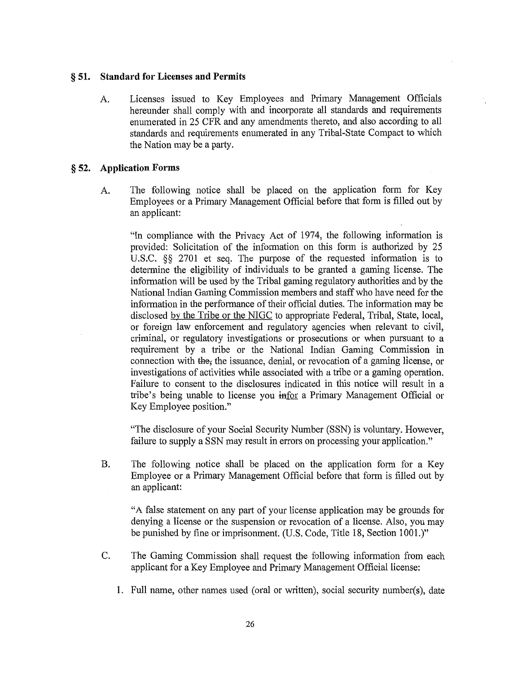#### § 51. Standard for Licenses and Permits

A. Licenses issued to Key Employees and Primary Management Officials hereunder shall comply with and incorporate all standards and requirements enumerated in 25 CFR and any amendments thereto, and also according to all standards and requirements enumerated in any Tribal-State Compact to which the Nation may be a party.

#### § 52. Application Forms

A. The following notice shall be placed on the application form for Key Employees or a Primary Management Official before that form is filled out by an applicant:

"In compliance with the Privacy Act of 1974, the following information is provided: Solicitation of the information on this form is authorized by 25 U.S.C. §§ 2701 et seq. The purpose of the requested information is to determine the eligibility of individuals to be granted a gaming license. The information will be used by the Tribal gaming regulatory authorities and by the National Indian Gaming Commission members and staff who have need for the information in the performance of their official duties. The information may be disclosed by the Tribe or the NIGC to appropriate Federal, Tribal, State, local, or foreign law enforcement and regulatory agencies when relevant to civil, criminal, or regulatory investigations or prosecutions or when pursuant to a requirement by a tribe or the National Indian Gaming Commission in connection with the, the issuance, denial, or revocation of a gaming license, or investigations of activities while associated with a tribe or a gaming operation. Failure to consent to the disclosures indicated in this notice will result in a tribe's being unable to license you infor a Primary Management Official or Key Employee position."

"The disclosure of your Social Security Number (SSN) is voluntary. However, failure to supply a SSN may result in errors on processing your application."

B. The following notice shall be placed on the application form for a Key Employee or a Primary Management Official before that form is filled out by an applicant:

"A false statement on any part of your license application may be grounds for denying a license or the suspension or revocation of a license. Also, you may be punished by fine or imprisonment. (U.S. Code, Title 18, Section 1001.)"

- C. The Gaming Commission shall request the following information from each applicant for a Key Employee and Primary Management Official license:
	- 1. Full name, other names used (oral or written), social security number(s), date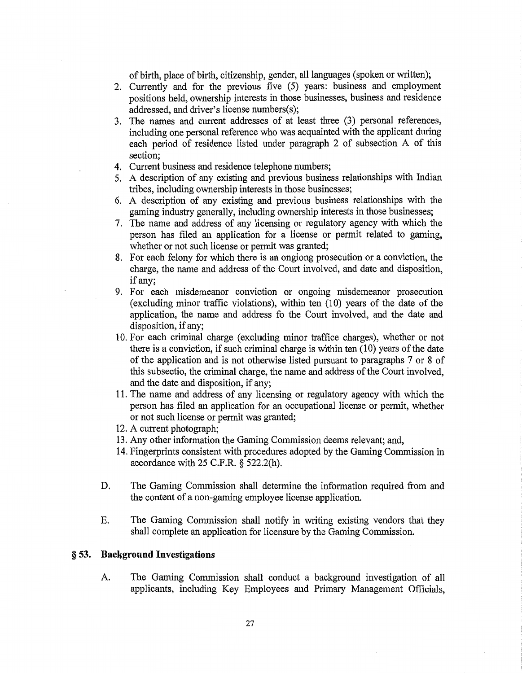of birth, place of birth, citizenship, gender, all languages (spoken or written);

- 2. Currently and for the previous five (5) years: business and employment positions held, ownership interests in those businesses, business and residence addressed, and driver's license numbers(s);
- 3. The names and current addresses of at least three (3) personal references, including one personal reference who was acquainted with the applicant during each period of residence listed under paragraph 2 of subsection A of this section;
- 4. Current business and residence telephone numbers;
- 5. A description of any existing and previous business relationships with Indian tribes, including ownership interests in those businesses;
- 6. A description of any existing and previous business relationships with the gaming industry generally, including ownership interests in those businesses;
- 7. The name and address of any licensing or regulatory agency with which the person has filed an application for a license or permit related to gaming, whether or not such license or permit was granted;
- 8. For each felony for which there is an ongiong prosecution or a conviction, the charge, the name and address of the Court involved, and date and disposition, if any;
- 9. For each misdemeanor conviction or ongoing misdemeanor prosecution (excluding minor traffic violations), within ten (10) years of the date of the application, the name and address fo the Court involved, and the date and disposition, if any;
- 10. For each criminal charge (excluding minor traffice charges), whether or not there is a conviction, if such criminal charge is within ten (10) years of the date of the application and is not otherwise listed pursuant to paragraphs 7 or 8 of this subsectio, the criminal charge, the name and address of the Court involved, and the date and disposition, if any;
- 11. The name and address of any licensing or regulatory agency with which the person has filed an application for an occupational license or permit, whether or not such license or permit was granted;
- 12. A current photograph;
- 13. Any other information the Gaming Commission deems relevant; and,
- 14. Fingerprints consistent with procedures adopted by the Gaming Commission in accordance with 25 C.F.R. § 522.2(h).
- D. The Gaming Commission shall determine the information required from and the content of a non-gaming employee license application.
- E. The Gaming Commission shall notify in writing existing vendors that they shall complete an application for licensure by the Gaming Commission.

#### § 53. **Background** Investigations

A. The Gaming Commission shall conduct a background investigation of all applicants, including Key Employees and Primary Management Officials,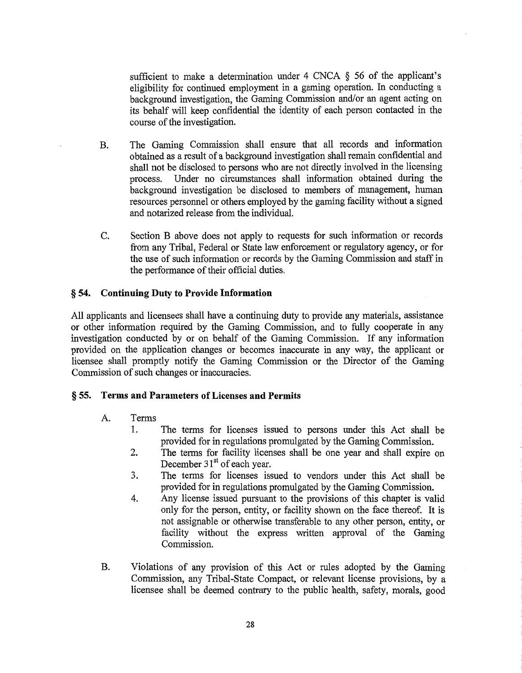sufficient to make a determination under 4 CNCA  $\S$  56 of the applicant's eligibility for continued employment in a gaming operation. In conducting a background investigation, the Gaming Commission and/or an agent acting on its behalf will keep confidential the identity of each person contacted in the course of the investigation.

- B. The Gaming Commission shall ensure that all records and information obtained as a result of a background investigation shall remain confidential and shall not be disclosed to persons who are not directly involved in the licensing process. Under no circumstances shall information obtained during the background investigation be disclosed to members of management, human resources personnel or others employed by the gaming facility without a signed and notarized release from the individual.
- C. Section **B** above does not apply to requests for such information or records from any Tribal, Federal or State law enforcement or regulatory agency, or for the use of such information or records by the Gaming Commission and staff in the performance of their official duties.

#### § **54. Continuing Duty to Provide Information**

All applicants and licensees shall have a continuing duty to provide any materials, assistance or other information required by the Gaming Commission, and to fully cooperate in any investigation conducted by or on behalf of the Gaming Commission. If any information provided on the application changes or becomes inaccurate in any way, the applicant or licensee shall promptly notify the Gaming Commission or the Director of the Gaming Commission of such changes or inaccuracies.

#### § **55. Terms and Parameters of Licenses and Permits**

- A. Terms
	- 1. The terms for licenses issued to persons under this Act shall be provided for in regulations promulgated by the Gaming Commission.
	- 2. The terms for facility licenses shall be one year and shall expire on December  $31<sup>st</sup>$  of each year.
	- 3. The terms for licenses issued to vendors under this Act shall be provided for in regulations promulgated by the Gaming Commission.
	- 4. Any license issued pursuant to the provisions of this chapter is valid only for the person, entity, or facility shown on the face thereof. It is not assignable or otherwise transferable to any other person, entity, or facility without the express written approval of the Gaming Commission.
- B. Violations of any provision of this Act or rules adopted by the Gaming Commission, any Tribal-State Compact, or relevant license provisions, by a licensee shall be deemed contrary to the public health, safety, morals, good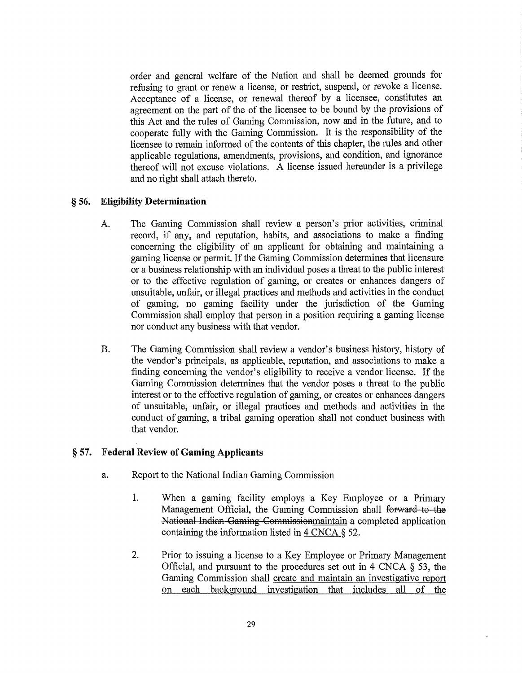order and general welfare of the Nation and shall be deemed grounds for refusing to grant or renew a license, or restrict, suspend, or revoke a license. Acceptance of a license, or renewal thereof by a licensee, constitutes an agreement on the part of the of the licensee to be bound by the provisions of this Act and the rules of Gaming Commission, now and in the future, and to cooperate fully with the Gaming Commission. It is the responsibility of the licensee to remain informed of the contents of this chapter, the rnles and other applicable regulations, amendments, provisions, and condition, and ignorance thereof will not excuse violations. A license issued hereunder is a privilege and no right shall attach thereto.

## § **56. Eligibility Determination**

- A. The Gaming Commission shall review a person's prior activities, criminal record, if any, and reputation, habits, and associations to make a finding concerning the eligibility of an applicant for obtaining and maintaining a gaming license or permit. If the Gaming Commission determines that licensure or a business relationship with an individual poses a threat to the public interest or to the effective regulation of gaming, or creates or enhances dangers of tmsuitable, unfair, or illegal practices and methods and activities in the conduct of gaming, no gaming facility under the jurisdiction of the Gaming Commission shall employ that person in a position requiring a gaming license nor conduct any business with that vendor.
- B. The Gaming Commission shall review a vendor's business history, history of the vendor's principals, as applicable, reputation, and associations to make a finding concerning the vendor's eligibility to receive a vendor license. If the Gaming Commission determines that the vendor poses a threat to the public interest or to the effective regulation of gaming, or creates or enhances dangers of unsuitable, unfair, or illegal practices and methods and activities in the conduct of gaming, a tribal gaming operation shall not conduct business with that vendor.

## § **57. Federal Review of Gaming Applicants**

- a. Report to the National Indian Gaming Commission
	- 1. When a gaming facility employs a Key Employee or a Primary Management Official, the Gaming Commission shall forward to the National Indian Gaming Commissionmaintain a completed application containing the information listed in 4 CNCA § 52.
	- 2. Prior to issuing a license to a Key Employee or Primary Management Official, and pursuant to the procedures set out in 4 CNCA § 53, the Gaming Commission shall create and maintain an investigative report on each background investigation that includes all of the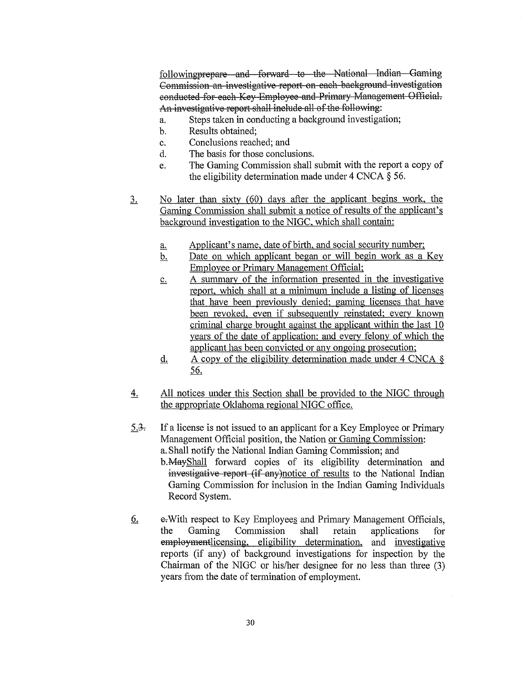followingprepare and forward to the National Indian Gaming following<del>prepare and forward to the National Indian Gaming</del><br>Commission an investigative report on each background investigation<br>conducted for each Key Employee and Primary Management Official.<br>An investigative arrest shal Commission an investigative report on each background investigation An investigative report shall include all of the following:

- a. Steps taken in conducting a background investigation;
- b. Results obtained;
- c. Conclusions reached; and
- d. The basis for those conclusions.
- e. The Gaming Commission shall submit with the report a copy of the eligibility determination made under  $4 \text{ CNCA}$   $§$  56.
- 3. No later than sixty (60) days after the applicant begins work, the Gaming Commission shall submit a notice of results of the applicant's background investigation to the NIGC, which shall contain:
	- a. Applicant's name, date of birth, and social security number;
	- b. Date on which applicant began or will begin work as a Key Employee or Primary Management Official;
	- c. A summary of the information presented in the investigative report, which shall at a minimum include a listing of licenses that have been previously denied; gaming licenses that have been revoked, even if subsequently reinstated; every known criminal charge brought against the applicant within the last 10 years of the date of application; and every felony of which the applicant has been convicted or any ongoing prosecution;
	- d. A copy of the eligibility determination made under 4 CNCA § 56.
- 4. All notices under this Section shall be provided to the NIGC through the appropriate Oklahoma regional NIGC office.
- $5.3$ . If a license is not issued to an applicant for a Key Employee or Primary Management Official position, the Nation or Gaming Commission: a. Shall notify the National Indian Gaming Commission; and
	- b.MayShall forward copies of its eligibility determination and investigative report (if any)notice of results to the National Indian Gaming Commission for inclusion in the Indian Gaming Individuals Record System.
- 6. e. With respect to Key Employees and Primary Management Officials, the Gaming Commission shall retain applications for employmentlicensing, eligibility determination, and investigative reports (if any) of background investigations for inspection by the Chairman of the NIGC or his/her designee for no less than three (3) years from the date of termination of employment.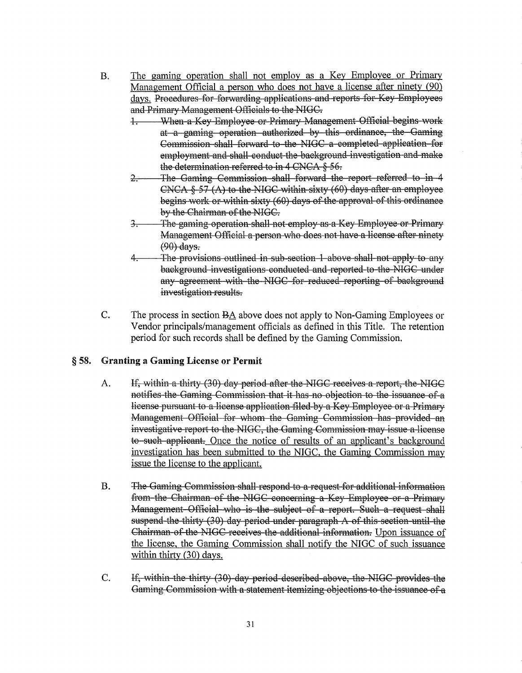- B. The gaming operation shall not employ as a Key Employee or Primary Management Official a person who does not have a license after ninety (90) days. Procedures for forwarding applications and reports for Key Employees and Primary Management Officials to the NIGG.
	- When a Key Employee or Primary Management Official begins work at a gaming operation authorized by this ordinance, the Gaming Commission shall forward to the NIGC a completed application for employment and shall conduct the background investigation and make the determination referred to in  $4 \text{ CNCA }$   $8 \text{ } 56.$
	- 2. The Gaming Commission shall forward the report referred to in 4 CNCA  $\S$  57 (A) to the NIGC within sixty (60) days after an employee begins work or within sixty (60) days of the approval of this ordinance by the Chairman of the NIGG.
	- 3. The gaming operation shall not employ as a Key Employee or Primary Management Official a person who does not have a license after ninety  $(90)$  days.
	- The provisions outlined in sub-section 1 above shall not apply to any background investigations conducted and reported to the NIGG under any agreement with the NIGC for reduced reporting of background investigation results.
- C. The process in section BA above does not apply to Non-Gaming Employees or Vendor principals/management officials as defined in this Title. The retention period for such records shall be defined by the Gaming Commission.

## § 58. Granting a Gaming License or Permit

- A. If, within a thirty (30) day period after the NIGC receives a report, the NIGC notifies the Gaming Commission that it has no objection to the issuance of a license pursuant to a license application filed by a Key Employee or a Primary Management Official for whom the Gaming Commission has provided an investigative report to the NIGC, the Gaming Commission may issue a license to such applicant. Once the notice of results of an applicant's background investigation has been submitted to the NIGC, the Gaming Commission may issue the license to the applicant.
- B. The Gaming Commission shall respond to a request for additional information from the Chairman of the NIGC concerning a Key Employee or a Primary Management Official who is the subject of a report. Such a request shall suspend the thirty  $(30)$  day period under paragraph A of this section until the Chairman of the NIGG receives the additional information. Upon issuance of the license, the Gaming Commission shall notify the NIGC of such issuance within thirty (30) days.
- C. If, within the thirty (30) day period described above, the NIGC provides the Gaming Commission with a statement itemizing objections to the issuance of a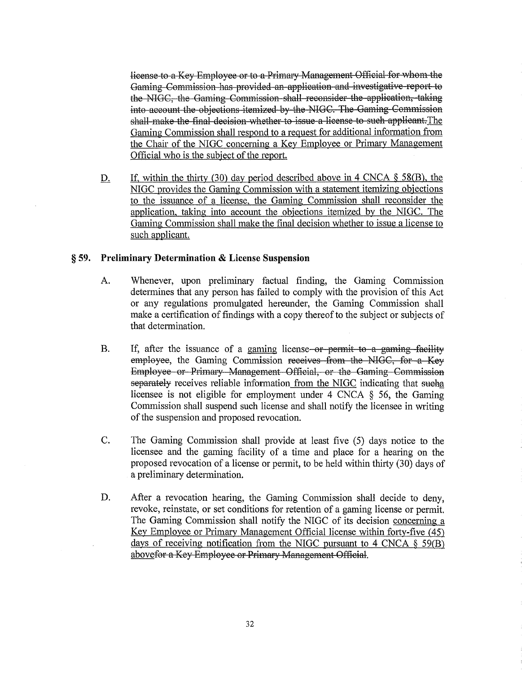license to a Key Employee or to a Primary Management Official for whom the Gaming Commission has provided an application and investigative report to the NIGC, the Gaming Commission shall reconsider the application, taking into account the objections itemized by the NIGC. The Gaming Commission shall make the final decision whether to issue a license to such applicant. The Gaming Commission shall respond to a request for additional information from the Chair of the NIGC concerning a Key Employee or Primary Management Official who is the subject of the report.

D. If, within the thirty (30) day period described above in 4 CNCA  $\S$  58(B), the NIGC provides the Gaming Commission with a statement itemizing objections to the issuance of a license, the Gaming Commission shall reconsider the application, taking into account the objections itemized by the NIGC. The Gaming Commission shall make the final decision whether to issue a license to such applicant.

#### § **59. Preliminary Determination & License Suspension**

- A. Whenever, upon preliminary factual finding, the Gaming Commission determines that any person has failed to comply with the provision of this Act or any regulations promulgated hereunder, the Gaming Commission shall make a certification of findings with a copy thereof to the subject or subjects of that determination.
- B. If, after the issuance of a gaming license- $or$ -permit to a gaming facility employee, the Gaming Commission receives from the NIGC, for a Key Employee or Primary Management Official, or the Gaming Commission separately receives reliable information from the NIGC indicating that suehal licensee is not eligible for employment under 4 CNCA § 56, the Gaming Commission shall suspend such license and shall notify the licensee in writing of the suspension and proposed revocation.
- C. The Gaming Commission shall provide at least five (5) days notice to the licensee and the gaming facility of a time and place for a hearing on the proposed revocation of a license or permit, to be held within thirty (30) days of a preliminary determination.
- D. After a revocation hearing, the Gaming Commission shall decide to deny, revoke, reinstate, or set conditions for retention of a gaming license or permit. The Gaming Commission shall notify the NIGC of its decision concerning a Key Employee or Primary Management Official license within forty-five (45) days of receiving notification from the NIGC pursuant to 4 CNCA  $\S$  59(B) abovefor a Key Employee or Primary Management Official.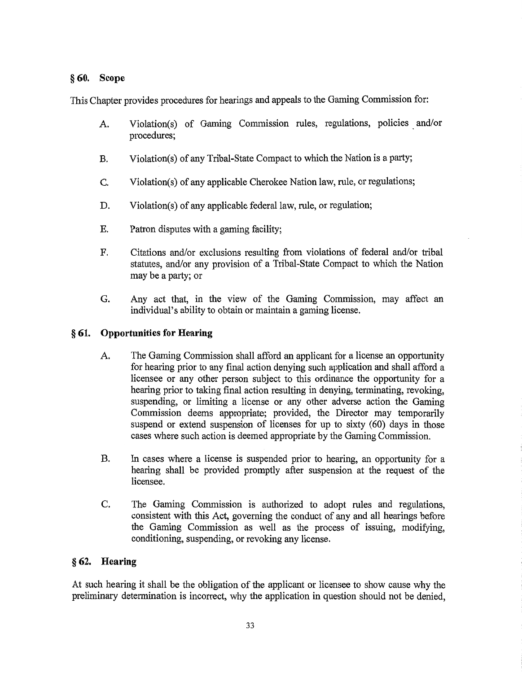## § **60. Scope**

This Chapter provides procedures for hearings and appeals to the Gaming Commission for:

- A. Violation(s) of Gaming Commission rules, regulations, policies and/or procedures;
- B. Violation(s) of any Tribal-State Compact to which the Nation is a party;
- C. Violation(s) of any applicable Cherokee Nation law, rule, or regulations;
- D. Violation(s) of any applicable federal law, rule, or regulation;
- E. Patron disputes with a gaming facility;
- F. Citations and/or exclusions resulting from violations of federal and/or tribal statutes, and/or any provision of a Tribal-State Compact to which the Nation may be a party; or
- G. Any act that, in the view of the Gaming Commission, may affect an individual's ability to obtain or maintain a gaming license.

## § **61. Opportunities for Hearing**

- A. The Gaming Commission shall afford an applicant for a license an opportunity for hearing prior to any final action denying such application and shall afford a licensee or any other person subject to this ordinance the opportunity for a hearing prior to taking final action resulting in denying, terminating, revoking, suspending, or limiting a license or any other adverse action the Gaming Commission deems appropriate; provided, the Director may temporarily suspend or extend suspension of licenses for up to sixty (60) days in those cases where such action is deemed appropriate by the Gaming Commission.
- B. In cases where a license is suspended prior to hearing, an opportunity for a hearing shall be provided promptly after suspension at the request of the licensee.
- C. The Gaming Commission is authorized to adopt rules and regulations, consistent with this Act, governing the conduct of any and all hearings before the Gaming Commission as well as the process of issuing, modifying, conditioning, suspending, or revoking any license.

## § **62. Hearing**

At such hearing it shall be the obligation of the applicant or licensee to show cause why the preliminary determination is incorrect, why the application in question should not be denied,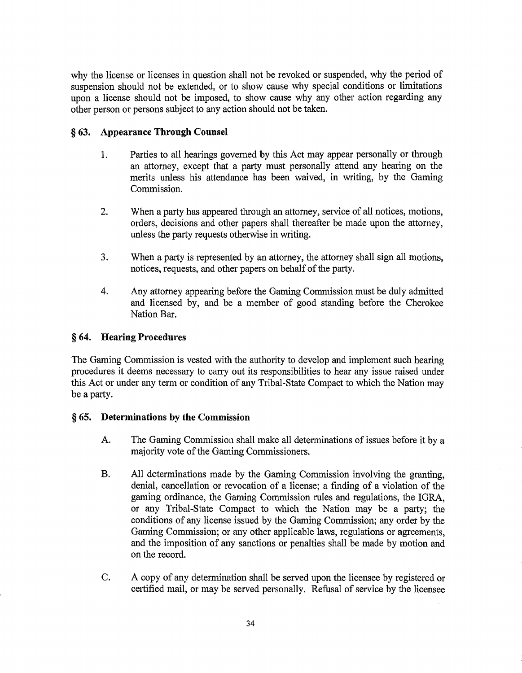why the license or licenses in question shall not be revoked or suspended, why the period of suspension should not be extended, or to show cause why special conditions or limitations upon a license should not be imposed, to show cause why any other action regarding any other person or persons subject to any action should not be taken.

## § **63. Appearance Through Counsel**

- 1. Parties to all hearings governed by this Act may appear personally or through an attorney, except that a party must personally attend any hearing on the merits unless his attendance has been waived, in writing, by the Gaming Commission.
- 2. When a party has appeared through an attorney, service of all notices, motions, orders, decisions and other papers shall thereafter be made upon the attorney, unless the party requests otherwise in writing.
- 3. When a party is represented by an attorney, the attorney shall sign all motions, notices, requests, and other papers on behalf of the party.
- 4. Any attorney appearing before the Gaming Commission must be duly admitted and licensed by, and be a member of good standing before the Cherokee Nation Bar.

## § **64. Hearing Procedures**

The Gaming Commission is vested with the authority to develop and implement such hearing procedures it deems necessary to carry out its responsibilities to hear any issue raised under this Act or under any term or condition of any Tribal-State Compact to which the Nation may be a party.

## § **65. Determinations by the Commission**

- A. The Gaming Commission shall make all determinations of issues before it by a majority vote of the Gaming Commissioners.
- B. All determinations made by the Gaming Commission involving the granting, denial, cancellation or revocation of a license; a finding of a violation of the gaming ordinance, the Gaming Commission rules and regulations, the IGRA, or any Tribal-State Compact to which the Nation may be a party; the conditions of any license issued by the Gaming Commission; any order by the Gaming Commission; or any other applicable laws, regulations or agreements, and the imposition of any sanctions or penalties shall be made by motion and on the record.
- C. A copy of any determination shall be served upon the licensee by registered or certified mail, or may be served personally. Refusal of service by the licensee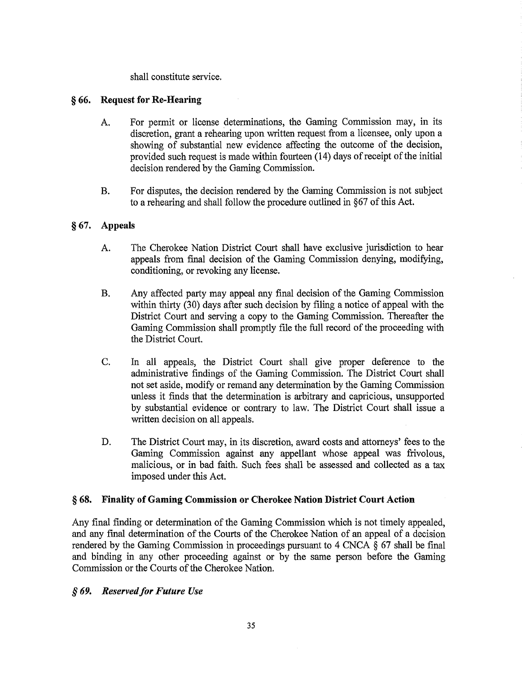shall constitute service.

## § 66. Request for Re-Hearing

- A. For permit or license determinations, the Gaming Commission may, in its discretion, grant a rehearing upon written request from a licensee, only upon a showing of substantial new evidence affecting the outcome of the decision, provided such request is made within fourteen (14) days of receipt of the initial decision rendered by the Gaming Commission.
- B. For disputes, the decision rendered by the Gaming Commission is not subject to a rehearing and shall follow the procedure outlined in §67 of this Act.

## § 67. Appeals

- A. The Cherokee Nation District Court shall have exclusive jurisdiction to hear appeals from final decision of the Gaming Commission denying, modifying, conditioning, or revoking any license.
- B. Any affected party may appeal any final decision of the Gaming Commission within thirty (30) days after such decision by filing a notice of appeal with the District Court and serving a copy to the Gaming Commission. Thereafter the Gaming Commission shall promptly file the full record of the proceeding with the District Court.
- C. In all appeals, the District Court shall give proper deference to the administrative findings of the Gaming Commission. The District Court shall not set aside, modify or remand any determination by the Gaming Commission unless it finds that the determination is arbitrary and capricious, unsupported by substantial evidence or contrary to law. The District Court shall issue a written decision on all appeals.
- D. The District Court may, in its discretion, award costs and attorneys' fees to the Gaming Commission against any appellant whose appeal was frivolous, malicious, or in bad faith. Such fees shall be assessed and collected as a tax imposed under this Act.

## § 68. Finality of Gaming Commission or Cherokee Nation District Court Action

Any final finding or determination of the Gaming Commission which is not timely appealed, and any final determination of the Courts of the Cherokee Nation of an appeal of a decision rendered by the Gaming Commission in proceedings pursuant to 4 CNCA § 67 shall be final and binding in any other proceeding against or by the same person before the Gaming Commission or the Courts of the Cherokee Nation.

## § *69. Reserved for Future Use*